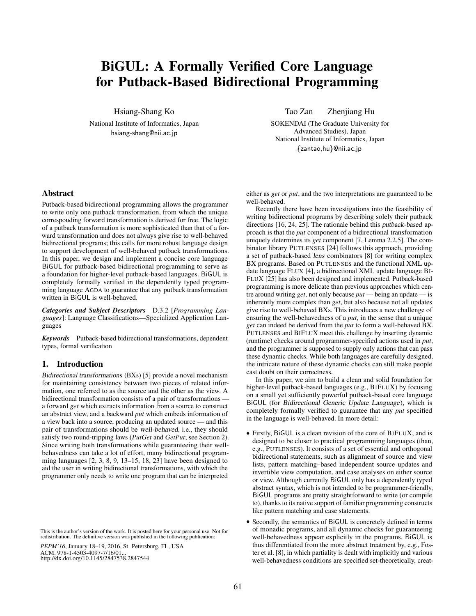# BiGUL: A Formally Verified Core Language for Putback-Based Bidirectional Programming

Hsiang-Shang Ko

National Institute of Informatics, Japan hsiang-shang@nii.ac.jp

Tao Zan Zhenjiang Hu

SOKENDAI (The Graduate University for Advanced Studies), Japan National Institute of Informatics, Japan {zantao,hu}@nii.ac.jp

## Abstract

Putback-based bidirectional programming allows the programmer to write only one putback transformation, from which the unique corresponding forward transformation is derived for free. The logic of a putback transformation is more sophisticated than that of a forward transformation and does not always give rise to well-behaved bidirectional programs; this calls for more robust language design to support development of well-behaved putback transformations. In this paper, we design and implement a concise core language [BiGUL](#page-3-0) for putback-based bidirectional programming to serve as a foundation for higher-level putback-based languages. [BiGUL](#page-3-0) is completely formally verified in the dependently typed programming language AGDA to guarantee that any putback transformation written in [BiGUL](#page-3-0) is well-behaved.

*Categories and Subject Descriptors* D.3.2 [*Programming Languages*]: Language Classifications—Specialized Application Languages

*Keywords* Putback-based bidirectional transformations, dependent types, formal verification

# 1. Introduction

Bidirectional transformations (BXs) [\[5\]](#page-11-0) provide a novel mechanism for maintaining consistency between two pieces of related information, one referred to as the source and the other as the view. A bidirectional transformation consists of a pair of transformations a forward *[get](#page-1-0)* which extracts information from a source to construct an abstract view, and a backward *[put](#page-1-1)* which embeds information of a view back into a source, producing an updated source — and this pair of transformations should be well-behaved, i.e., they should satisfy two round-tripping laws (*[PutGet](#page-1-2)* and *[GetPut](#page-1-3)*; see [Section 2\)](#page-1-4). Since writing both transformations while guaranteeing their wellbehavedness can take a lot of effort, many bidirectional programming languages [\[2,](#page-11-1) [3,](#page-11-2) [8,](#page-11-3) [9,](#page-11-4) [13](#page-11-5)[–15,](#page-11-6) [18,](#page-11-7) [23\]](#page-11-8) have been designed to aid the user in writing bidirectional transformations, with which the programmer only needs to write one program that can be interpreted

This is the author's version of the work. It is posted here for your personal use. Not for<br>redistribution. The definitive version was published in the following publication:

PEPM'16, January 18–19, 2016, St. Petersburg, FL, USA ACM, 978-1-4503-4097-7/16/01... http://dx.doi.org/10.1145/2847538.2847544 http://dx.doi.org/10.1145/2847538.2847544

either as *[get](#page-1-0)* or *[put](#page-1-1)*, and the two interpretations are guaranteed to be well-behaved.

Recently there have been investigations into the feasibility of writing bidirectional programs by describing solely their putback directions [\[16,](#page-11-9) [24,](#page-11-10) [25\]](#page-11-11). The rationale behind this putback-based approach is that the *[put](#page-1-1)* component of a bidirectional transformation uniquely determines its *[get](#page-1-0)* component [\[7,](#page-11-12) Lemma 2.2.5]. The combinator library PUTLENSES [\[24\]](#page-11-10) follows this approach, providing a set of putback-based lens combinators [\[8\]](#page-11-3) for writing complex BX programs. Based on PUTLENSES and the functional XML update language FLUX [\[4\]](#page-11-13), a bidirectional XML update language BI-FLUX [\[25\]](#page-11-11) has also been designed and implemented. Putback-based programming is more delicate than previous approaches which centre around writing *[get](#page-1-0)*, not only because *[put](#page-1-1)* — being an update — is inherently more complex than *[get](#page-1-0)*, but also because not all updates give rise to well-behaved BXs. This introduces a new challenge of ensuring the well-behavedness of a *[put](#page-1-1)*, in the sense that a unique *[get](#page-1-0)* can indeed be derived from the *[put](#page-1-1)* to form a well-behaved BX. PUTLENSES and BIFLUX meet this challenge by inserting dynamic (runtime) checks around programmer-specified actions used in *[put](#page-1-1)*, and the programmer is supposed to supply only actions that can pass these dynamic checks. While both languages are carefully designed, the intricate nature of these dynamic checks can still make people cast doubt on their correctness.

In this paper, we aim to build a clean and solid foundation for higher-level putback-based languages (e.g., BIFLUX) by focusing on a small yet sufficiently powerful putback-based core language [BiGUL](#page-3-0) (for Bidirectional Generic Update Language), which is completely formally verified to guarantee that any *[put](#page-1-1)* specified in the language is well-behaved. In more detail:

- Firstly, [BiGUL](#page-3-0) is a clean revision of the core of BIFLUX, and is designed to be closer to practical programming languages (than, e.g., PUTLENSES). It consists of a set of essential and orthogonal bidirectional statements, such as alignment of source and view lists, pattern matching–based independent source updates and invertible view computation, and case analyses on either source or view. Although currently [BiGUL](#page-3-0) only has a dependently typed abstract syntax, which is not intended to be programmer-friendly, [BiGUL](#page-3-0) programs are pretty straightforward to write (or compile to), thanks to its native support of familiar programming constructs like pattern matching and case statements.
- Secondly, the semantics of [BiGUL](#page-3-0) is concretely defined in terms of monadic programs, and all dynamic checks for guaranteeing well-behavedness appear explicitly in the programs. [BiGUL](#page-3-0) is thus differentiated from the more abstract treatment by, e.g., Foster et al. [\[8\]](#page-11-3), in which partiality is dealt with implicitly and various well-behavedness conditions are specified set-theoretically, creat-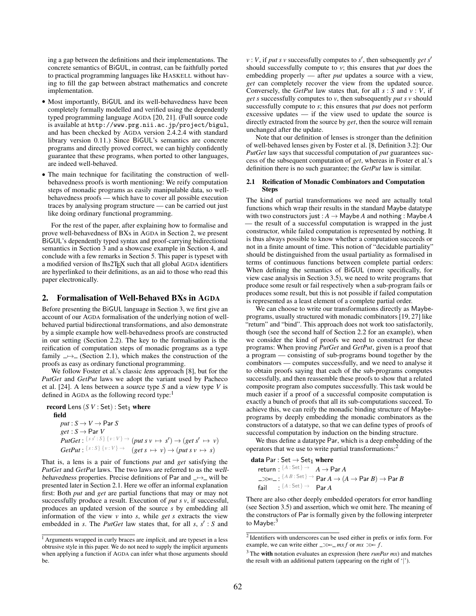ing a gap between the definitions and their implementations. The concrete semantics of [BiGUL](#page-3-0), in contrast, can be faithfully ported to practical programming languages like HASKELL without having to fill the gap between abstract mathematics and concrete implementation.

- Most importantly, [BiGUL](#page-3-0) and its well-behavedness have been completely formally modelled and verified using the dependently typed programming language AGDA [\[20,](#page-11-14) [21\]](#page-11-15). (Full source code is available at <http://www.prg.nii.ac.jp/project/bigul>, and has been checked by AGDA version 2.4.2.4 with standard library version 0.11.) Since [BiGUL](#page-3-0)'s semantics are concrete programs and directly proved correct, we can highly confidently guarantee that these programs, when ported to other languages, are indeed well-behaved.
- The main technique for facilitating the construction of wellbehavedness proofs is worth mentioning: We reify computation steps of monadic programs as easily manipulable data, so wellbehavedness proofs — which have to cover all possible execution traces by analysing program structure — can be carried out just like doing ordinary functional programming.

For the rest of the paper, after explaining how to formalise and prove well-behavedness of BXs in AGDA in [Section 2,](#page-1-4) we present [BiGUL](#page-3-0)'s dependently typed syntax and proof-carrying bidirectional semantics in [Section 3](#page-2-0) and a showcase example in [Section 4,](#page-9-0) and conclude with a few remarks in [Section 5.](#page-10-0) This paper is typeset with a modified version of lhs2TEX such that all global AGDA identifiers are hyperlinked to their definitions, as an aid to those who read this paper electronically.

# <span id="page-1-4"></span>2. Formalisation of Well-Behaved BXs in AGDA

Before presenting the [BiGUL](#page-3-0) language in [Section 3,](#page-2-0) we first give an account of our AGDA formalisation of the underlying notion of wellbehaved partial bidirectional transformations, and also demonstrate by a simple example how well-behavedness proofs are constructed in our setting [\(Section 2.2\)](#page-2-1). The key to the formalisation is the reification of computation steps of monadic programs as a type family  $\rightarrow$  [\(Section 2.1\)](#page-1-5), which makes the construction of the proofs as easy as ordinary functional programming.

We follow Foster et al.'s classic lens approach [\[8\]](#page-11-3), but for the *[PutGet](#page-1-2)* and *[GetPut](#page-1-3)* laws we adopt the variant used by Pacheco et al. [\[24\]](#page-11-10). A lens between a source type *S* and a view type *V* is defined in AGDA as the following record type: $<sup>1</sup>$  $<sup>1</sup>$  $<sup>1</sup>$ </sup>

```
record Lens (S V : Set) : Set_1 where
 field
   Par Sget : S \rightarrowPar V
   putget s' \mapsto v)getput \, s \, v \mapsto s)
```
<span id="page-1-3"></span><span id="page-1-2"></span>That is, a lens is a pair of functions *[put](#page-1-1)* and *[get](#page-1-0)* satisfying the *[PutGet](#page-1-2)* and *[GetPut](#page-1-3)* laws. The two laws are referred to as the well-behavedness properties. Precise definitions of [Par](#page-1-7) and  $-\rightarrow$  will be presented later in [Section 2.1.](#page-1-5) Here we offer an informal explanation first: Both *[put](#page-1-1)* and *[get](#page-1-0)* are partial functions that may or may not successfully produce a result. Execution of *[put](#page-1-1) s v*, if successful, produces an updated version of the source *s* by embedding all information of the view  $\nu$  into  $s$ , while *[get](#page-1-0)*  $s$  extracts the view embedded in *s*. The *[PutGet](#page-1-2)* law states that, for all *s*, *s'* : *S* and

 $v: V$ , if *[put](#page-1-1) s v* successfully computes to  $s'$ , then subsequently *[get](#page-1-0)*  $s'$ should successfully compute to *v*; this ensures that *[put](#page-1-1)* does the embedding properly — after *[put](#page-1-1)* updates a source with a view, *[get](#page-1-0)* can completely recover the view from the updated source. Conversely, the *[GetPut](#page-1-3)* law states that, for all *s* : *S* and *v* : *V*, if *[get](#page-1-0) s* successfully computes to *v*, then subsequently *[put](#page-1-1) s v* should successfully compute to *s*; this ensures that *[put](#page-1-1)* does not perform excessive updates — if the view used to update the source is directly extracted from the source by *[get](#page-1-0)*, then the source will remain unchanged after the update.

Note that our definition of lenses is stronger than the definition of well-behaved lenses given by Foster et al. [\[8,](#page-11-3) Definition 3.2]: Our *[PutGet](#page-1-2)* law says that successful computation of *[put](#page-1-1)* guarantees success of the subsequent computation of *[get](#page-1-0)*, whereas in Foster et al.'s definition there is no such guarantee; the *[GetPut](#page-1-3)* law is similar.

#### <span id="page-1-5"></span>2.1 Reification of Monadic Combinators and Computation Steps

<span id="page-1-10"></span><span id="page-1-9"></span><span id="page-1-8"></span>The kind of partial transformations we need are actually total functions which wrap their results in the standard Maybe datatype with two constructors just :  $A \rightarrow$  [Maybe](#page-1-8)  $A$  and nothing : Maybe  $A$ — the result of a successful computation is wrapped in the [just](#page-1-9) constructor, while failed computation is represented by [nothing](#page-1-10). It is thus always possible to know whether a computation succeeds or not in a finite amount of time. This notion of "decidable partiality" should be distinguished from the usual partiality as formalised in terms of continuous functions between complete partial orders: When defining the semantics of [BiGUL](#page-3-0) (more specifically, for view case analysis in [Section 3.5\)](#page-8-0), we need to write programs that produce some result or fail respectively when a sub-program fails or produces some result, but this is not possible if failed computation is represented as a least element of a complete partial order.

We can choose to write our transformations directly as [Maybe](#page-1-8)programs, usually structured with monadic combinators [\[19,](#page-11-16) [27\]](#page-11-17) like "return" and "bind". This approach does not work too satisfactorily, though (see the second half of [Section 2.2](#page-2-1) for an example), when we consider the kind of proofs we need to construct for these programs: When proving *[PutGet](#page-1-2)* and *[GetPut](#page-1-3)*, given is a proof that a program — consisting of sub-programs bound together by the combinators — computes successfully, and we need to analyse it to obtain proofs saying that each of the sub-programs computes successfully, and then reassemble these proofs to show that a related composite program also computes successfully. This task would be much easier if a proof of a successful composite computation is exactly a bunch of proofs that all its sub-computations succeed. To achieve this, we can reify the monadic binding structure of [Maybe](#page-1-8)programs by deeply embedding the monadic combinators as the constructors of a datatype, so that we can define types of proofs of successful computation by induction on the binding structure.

We thus define a datatype [Par](#page-1-7), which is a deep embedding of the operators that we use to write partial transformations:[2](#page-1-11)

$$
\text{data Par}: \mathsf{Set} \to \mathsf{Set}_1 \text{ where }
$$

<span id="page-1-14"></span><span id="page-1-13"></span><span id="page-1-7"></span> $\mathsf{return}: {}^{\{A\,:\,\mathsf{Set}\}}\to\;\;A\to\mathsf{Par}\,A$  $\mathsf{return}: {}^{\{A\,:\,\mathsf{Set}\}}\to\;\;A\to\mathsf{Par}\,A$  $\mathsf{return}: {}^{\{A\,:\,\mathsf{Set}\}}\to\;\;A\to\mathsf{Par}\,A$  $>\!\!>\!\!>\!=$  :  $^{\{A\,B\ :\ \mathsf{Set}\}}\! \to \mathsf{Par}\,A \to (A \to \mathsf{Par}\,B) \to \mathsf{Par}\,B$  $^{\{A\,B\ :\ \mathsf{Set}\}}\! \to \mathsf{Par}\,A \to (A \to \mathsf{Par}\,B) \to \mathsf{Par}\,B$  $^{\{A\,B\ :\ \mathsf{Set}\}}\! \to \mathsf{Par}\,A \to (A \to \mathsf{Par}\,B) \to \mathsf{Par}\,B$  $\mathsf{fail} \quad :^{\{A\text{ : } \mathsf{Set}\}} \rightarrow \quad \mathsf{Par}\, A$  $\mathsf{fail} \quad :^{\{A\text{ : } \mathsf{Set}\}} \rightarrow \quad \mathsf{Par}\, A$  $\mathsf{fail} \quad :^{\{A\text{ : } \mathsf{Set}\}} \rightarrow \quad \mathsf{Par}\, A$ 

<span id="page-1-15"></span>There are also other deeply embedded operators for error handling (see [Section 3.5\)](#page-8-0) and assertion, which we omit here. The meaning of the constructors of [Par](#page-1-7) is formally given by the following interpreter to [Maybe](#page-1-8): $^3$  $^3$ 

<span id="page-1-6"></span><sup>&</sup>lt;sup>1</sup> Arguments wrapped in curly braces are *implicit*, and are typeset in a less obtrusive style in this paper. We do not need to supply the implicit arguments when applying a function if AGDA can infer what those arguments should be.

<span id="page-1-11"></span><sup>&</sup>lt;sup>2</sup> Identifiers with underscores can be used either in prefix or infix form. For example, we can write either  $\Rightarrow$  *= mx f* or *mx*  $\gg$  *= f*.

<span id="page-1-12"></span><sup>3</sup> The with notation evaluates an expression (here *[runPar](#page-2-3) mx*) and matches the result with an additional pattern (appearing on the right of '|').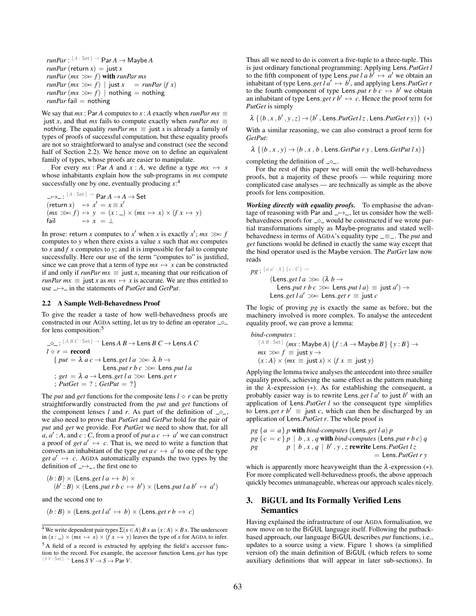<span id="page-2-3"></span> $\mathit{runPar} : \{\textsuperscript{A} : \mathsf{Set} \} \rightarrow \mathsf{Par}\ \textup{\textbf{A}} \rightarrow \mathsf{Maybe}\ \textup{\textbf{A}}$  $\mathit{runPar} : \{\textsuperscript{A} : \mathsf{Set} \} \rightarrow \mathsf{Par}\ \textup{\textbf{A}} \rightarrow \mathsf{Maybe}\ \textup{\textbf{A}}$  $\mathit{runPar} : \{\textsuperscript{A} : \mathsf{Set} \} \rightarrow \mathsf{Par}\ \textup{\textbf{A}} \rightarrow \mathsf{Maybe}\ \textup{\textbf{A}}$  $\mathit{runPar} : \{\textsuperscript{A} : \mathsf{Set} \} \rightarrow \mathsf{Par}\ \textup{\textbf{A}} \rightarrow \mathsf{Maybe}\ \textup{\textbf{A}}$  $\mathit{runPar} : \{\textsuperscript{A} : \mathsf{Set} \} \rightarrow \mathsf{Par}\ \textup{\textbf{A}} \rightarrow \mathsf{Maybe}\ \textup{\textbf{A}}$ *[runPar](#page-2-3)* ([return](#page-1-14)  $x$ ) = [just](#page-1-9)  $x$ *[runPar](#page-2-3)* ( $mx \gg f$ ) with *runPar*  $mx$  $runPar$   $(mx \gg f)$  | [just](#page-1-9)  $x = runPar$   $(f x)$  $runPar$  ( $mx \gg f$ ) | [nothing](#page-1-10) = nothing  $runPar$  [fail](#page-1-15)  $=$  [nothing](#page-1-10)

We say that  $mx$ : [Par](#page-1-7) *A* computes to *x* : *A* exactly when  $runParmx \equiv$  $runParmx \equiv$ [just](#page-1-9) *x*, and that *mx* fails to compute exactly when *[runPar](#page-2-3)*  $mx \equiv$ [nothing](#page-1-10). The equality *[runPar](#page-2-3)*  $mx \equiv$  [just](#page-1-9) *x* is already a family of types of proofs of successful computation, but these equality proofs are not so straightforward to analyse and construct (see the second half of [Section 2.2\)](#page-2-1). We hence move on to define an equivalent family of types, whose proofs are easier to manipulate.

For every  $mx$ : [Par](#page-1-7) *A* and  $x : A$ , we define a type  $mx \mapsto x$ whose inhabitants explain how the sub-programs in *mx* compute successfully one by one, eventually producing  $x^4$  $x^4$ 

<span id="page-2-2"></span>
$$
\begin{array}{l}\n\downarrow \rightarrow \downarrow : \{A:\text{Set}\} \rightarrow \text{Par } A \rightarrow A \rightarrow \text{Set} \\
(\text{return } x) \quad \mapsto x' = x \equiv x' \\
(mx \gg f) \rightarrow y = (x : \_\) \times (mx \rightarrow x) \times (f x \rightarrow y) \\
\text{fail} \quad \mapsto x = \bot\n\end{array}
$$

In prose: [return](#page-1-14) *x* computes to *x*<sup> $\prime$ </sup> when *x* is exactly *x*<sup> $\prime$ </sup>; *mx*  $\gg f$ computes to *y* when there exists a value *x* such that *mx* computes to *x* and *f x* computes to *y*; and it is impossible for [fail](#page-1-15) to compute successfully. Here our use of the term "computes to" is justified, since we can prove that a term of type  $mx \mapsto x$  can be constructed if and only if *[runPar](#page-2-3)*  $mx \equiv$  [just](#page-1-9) *x*, meaning that our reification of *[runPar](#page-2-3)*  $mx \equiv$  [just](#page-1-9) *x* as  $mx \mapsto x$  is accurate. We are thus entitled to use [7→](#page-2-2) in the statements of *[PutGet](#page-1-2)* and *[GetPut](#page-1-3)*.

#### <span id="page-2-1"></span>2.2 A Sample Well-Behavedness Proof

To give the reader a taste of how well-behavedness proofs are constructed in our AGDA setting, let us try to define an operator  $\sim$ for lens composition:<sup>[5](#page-2-6)</sup>

<span id="page-2-5"></span>
$$
\log_2\{\frac{\{AB \ C:\ \text{Set}\}}{\emptyset}\} \ \text{Lens}\ A\ B \to \text{Lens}\ B\ C \to \text{Lens}\ A\ C
$$
\n
$$
l \diamond r = \text{record}
$$
\n
$$
\{put = \lambda \ a\ c \to \text{Lens}\ .get\ l\ a \gg\searrow \lambda \ b \to
$$
\n
$$
\text{Lens}\ .put\ r\ b\ c \gg\searrow \text{Lens}\ .put\ l\ a
$$
\n
$$
\vdots get = \lambda \ a \to \text{Lens}\ .get\ l\ a \gg\searrow \text{Lens}\ .get\ r
$$
\n
$$
\vdots \ \text{Put}\ \text{Get}\ = ?\ ;\ \text{GetPut}\ = ?\}
$$

The *[put](#page-1-1)* and *[get](#page-1-0)* functions for the composite lens  $l \circ r$  can be pretty straightforwardly constructed from the *[put](#page-1-1)* and *[get](#page-1-0)* functions of the component lenses *l* and *r*. As part of the definition of  $\infty$ , we also need to prove that *[PutGet](#page-1-2)* and *[GetPut](#page-1-3)* hold for the pair of *[put](#page-1-1)* and *[get](#page-1-0)* we provide. For *[PutGet](#page-1-2)* we need to show that, for all  $a, a' : A$ , and  $c : C$ , from a proof of *[put](#page-1-1)*  $a c \mapsto a'$  we can construct a proof of *[get](#page-1-0)*  $a' \mapsto c$ . That is, we need to write a function that converts an inhabitant of the type *[put](#page-1-1)*  $a c \mapsto a'$  to one of the type *[get](#page-1-0)*  $a' \mapsto c$ . AGDA automatically expands the two types by the definition of  $\rightarrow$  , the first one to

$$
(b : B) \times (\text{Lens}.get \, l \, a \mapsto b) \times (b' : B) \times (\text{Lens}.put \, r \, b \, c \mapsto b') \times (\text{Lens}.put \, l \, a \, b' \mapsto a')
$$

and the second one to

$$
(b : B) \times (\text{Lens}.get \, la' \mapsto b) \times (\text{Lens}.get \, rb \mapsto c)
$$

Thus all we need to do is convert a five-tuple to a three-tuple. This is just ordinary functional programming: Applying [Lens](#page-1-16).*[PutGet](#page-1-2) l* to the fifth component of type [Lens](#page-1-16).*[put](#page-1-1)*  $l \, a \, b' \mapsto a'$  we obtain an inhabitant of type [Lens](#page-1-16).*[get](#page-1-0)*  $\hat{l} a' \mapsto b'$ , and applying Lens. [PutGet](#page-1-2) *r* to the fourth component of type [Lens](#page-1-16).*[put](#page-1-1)*  $\vec{r}$   $\vec{b}$   $\vec{c}$   $\mapsto$   $\vec{b}$ <sup>'</sup> we obtain an inhabitant of type [Lens](#page-1-16).*[get](#page-1-0)*  $r b' \mapsto c$ . Hence the proof term for *[PutGet](#page-1-2)* is simply

<span id="page-2-8"></span> $\lambda \{ (b, x, b', y, z) \rightarrow (b', \text{Lens}.PutGet1z, \text{Lens}.PutGetry) \} (*)$  $\lambda \{ (b, x, b', y, z) \rightarrow (b', \text{Lens}.PutGet1z, \text{Lens}.PutGetry) \} (*)$  $\lambda \{ (b, x, b', y, z) \rightarrow (b', \text{Lens}.PutGet1z, \text{Lens}.PutGetry) \} (*)$  $\lambda \{ (b, x, b', y, z) \rightarrow (b', \text{Lens}.PutGet1z, \text{Lens}.PutGetry) \} (*)$  $\lambda \{ (b, x, b', y, z) \rightarrow (b', \text{Lens}.PutGet1z, \text{Lens}.PutGetry) \} (*)$ 

With a similar reasoning, we can also construct a proof term for *[GetPut](#page-1-3)*:

 $\lambda \left\{ (b, x, y) \rightarrow (b, x, b, \text{Lens}. \text{GetPut } r y, \text{Lens}. \text{GetPut } l x) \right\}$  $\lambda \left\{ (b, x, y) \rightarrow (b, x, b, \text{Lens}. \text{GetPut } r y, \text{Lens}. \text{GetPut } l x) \right\}$  $\lambda \left\{ (b, x, y) \rightarrow (b, x, b, \text{Lens}. \text{GetPut } r y, \text{Lens}. \text{GetPut } l x) \right\}$  $\lambda \left\{ (b, x, y) \rightarrow (b, x, b, \text{Lens}. \text{GetPut } r y, \text{Lens}. \text{GetPut } l x) \right\}$  $\lambda \left\{ (b, x, y) \rightarrow (b, x, b, \text{Lens}. \text{GetPut } r y, \text{Lens}. \text{GetPut } l x) \right\}$ 

completing the definition of  $\infty$ .

For the rest of this paper we will omit the well-behavedness proofs, but a majority of these proofs — while requiring more complicated case analyses — are technically as simple as the above proofs for lens composition.

*Working directly with equality proofs.* To emphasise the advan-tage of reasoning with [Par](#page-1-7) and  $\rightarrow$  , let us consider how the wellbehavedness proofs for  $\infty$  would be constructed if we wrote partial transformations simply as [Maybe](#page-1-8)-programs and stated wellbehavedness in terms of AGDA's equality type  $\equiv$  . The *[put](#page-1-1)* and *[get](#page-1-0)* functions would be defined in exactly the same way except that the bind operator used is the [Maybe](#page-1-8) version. The *[PutGet](#page-1-2)* law now reads

<span id="page-2-7"></span>
$$
pg: \{ \begin{aligned} \{ aa': A \} \{ c:C \} &\rightarrow \\ & (\text{Lens}.get l a \ggg (\lambda b \rightarrow \\ & \text{Lens}.put r b c \ggg \text{ Lens}.put l a) \equiv \text{just } a' ) \rightarrow \\ & \text{Lens}.get l a' \ggg \text{ Lens}.get r \equiv \text{just } c \end{aligned}
$$

The logic of proving *[pg](#page-2-7)* is exactly the same as before, but the machinery involved is more complex. To analyse the antecedent equality proof, we can prove a lemma:

bind-computes :  
\n
$$
\{AB:\mathsf{Set}\}(mx : \mathsf{Maybe}\,A) \{f : A \to \mathsf{Maybe}\,B\} \{y : B\} \to
$$
\n
$$
mx \gg f \equiv \mathsf{just}\,y \to
$$
\n
$$
(x : A) \times (mx \equiv \mathsf{just}\,x) \times (f\,x \equiv \mathsf{just}\,y)
$$

Applying the lemma twice analyses the antecedent into three smaller equality proofs, achieving the same effect as the pattern matching in the  $\lambda$ -expression (\*). As for establishing the consequent, a probably easier way is to rewrite [Lens](#page-1-16).*[get](#page-1-0)*  $l \bar{a}'$  to [just](#page-1-9)  $b'$  with an application of [Lens](#page-1-16).*[PutGet](#page-1-2) l* so the consequent type simplifies to [Lens](#page-1-16).*[get](#page-1-0)*  $r b' \equiv$  [just](#page-1-9) *c*, which can then be discharged by an application of [Lens](#page-1-16).*[PutGet](#page-1-2) r*. The whole proof is

$$
pg \{a = a\} p \text{ with } bind-computes \text{ (Lens. get } l a) p
$$
\n
$$
pg \{c = c\} p \mid b, x, q \text{ with } bind-computes \text{ (Lens. put } r b c) q
$$
\n
$$
pg \quad p \mid b, x, q \mid b', y, z \text{ rewrite Lens.} PutGet \, l z
$$
\n
$$
= Lens. PutGet \, r y
$$

which is apparently more heavyweight than the  $\lambda$ -expression (\*). For more complicated well-behavedness proofs, the above approach quickly becomes unmanageable, whereas our approach scales nicely.

# <span id="page-2-0"></span>3. BiGUL and Its Formally Verified Lens Semantics

Having explained the infrastructure of our AGDA formalisation, we now move on to the [BiGUL](#page-3-0) language itself. Following the putbackbased approach, our language [BiGUL](#page-3-0) describes *[put](#page-1-1)* functions, i.e., updates to a source using a view. [Figure 1](#page-3-1) shows (a simplified version of) the main definition of [BiGUL](#page-3-0) (which refers to some auxiliary definitions that will appear in later sub-sections). In

<span id="page-2-6"></span><span id="page-2-4"></span><sup>&</sup>lt;sup>4</sup> We write dependent pair types  $\Sigma(x \in A) B x$  as  $(x : A) \times B x$ . The underscore in  $(x : \_) \times (mx \mapsto x) \times (fx \mapsto y)$  leaves the type of *x* for AGDA to infer. <sup>5</sup> A field of a record is extracted by applying the field's accessor function to the record. For example, the accessor function [Lens](#page-1-16).*[get](#page-1-0)* has type  ${S V : Set} \rightarrow$  [Lens](#page-1-16)  $S V \rightarrow S \rightarrow$  [Par](#page-1-7) *V*.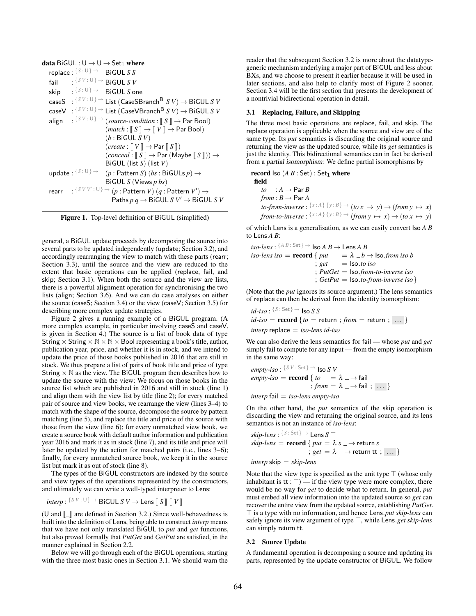<span id="page-3-11"></span><span id="page-3-10"></span><span id="page-3-9"></span><span id="page-3-7"></span><span id="page-3-6"></span><span id="page-3-5"></span><span id="page-3-0"></span>

| data BiGUL : U $\rightarrow$ U<br>$\rightarrow$ Set <sub>1</sub> where |       |                                                             |                                                                                                                                                               |  |  |  |  |  |
|------------------------------------------------------------------------|-------|-------------------------------------------------------------|---------------------------------------------------------------------------------------------------------------------------------------------------------------|--|--|--|--|--|
|                                                                        |       | replace: $\{S: \cup\} \rightarrow$                          | BiGUL S S                                                                                                                                                     |  |  |  |  |  |
|                                                                        | fail  | $\cdot \cdot \cdot^{\{S\,V\,:\,U\}}$ $\rightarrow$ BiGUL SV |                                                                                                                                                               |  |  |  |  |  |
|                                                                        | skip  | $\cdot \{S: \bigcup\} \rightarrow$                          | BiGUL S one                                                                                                                                                   |  |  |  |  |  |
|                                                                        |       |                                                             | caseS : $\{S V : U\} \rightarrow$ List (CaseSBranch <sup>B</sup> $S V$ ) $\rightarrow$ BiGUL SV                                                               |  |  |  |  |  |
|                                                                        | caseV |                                                             | $\cdot : \{S V: \cup\} \rightarrow$ List (CaseVBranch $^{\mathsf{B}} S V) \rightarrow$ BiGUL SV                                                               |  |  |  |  |  |
|                                                                        | align |                                                             | $\cdot : \{S \mid V : \cup\} \rightarrow (source\text{-}condition : \llbracket S \rrbracket \rightarrow \mathsf{Par} \ \mathsf{Bool})$                        |  |  |  |  |  |
|                                                                        |       |                                                             | $(match : \llbracket S \rrbracket \rightarrow \llbracket V \rrbracket \rightarrow \text{Par } \text{Bool}$                                                    |  |  |  |  |  |
|                                                                        |       |                                                             | (b: BiGUL S V)                                                                                                                                                |  |  |  |  |  |
|                                                                        |       |                                                             | $(\text{create}: \llbracket V \rrbracket \rightarrow \text{Par} \llbracket S \rrbracket)$                                                                     |  |  |  |  |  |
|                                                                        |       |                                                             | $(conced: \llbracket S \rrbracket \rightarrow \mathsf{Par} (\mathsf{Maybe} \llbracket S \rrbracket)) \rightarrow$                                             |  |  |  |  |  |
|                                                                        |       |                                                             | $BiGUL$ (list S) (list V)                                                                                                                                     |  |  |  |  |  |
|                                                                        |       | update: $\{S: \cup\} \rightarrow$                           | $(p :$ Pattern S) $(bs :$ BiGULs $p) \rightarrow$                                                                                                             |  |  |  |  |  |
|                                                                        |       |                                                             | BiGUL S (Views $p$ bs)                                                                                                                                        |  |  |  |  |  |
|                                                                        | rearr |                                                             | $\overline{\mathcal{L}}: \{ \mathcal{L} \cap V': \overline{\mathcal{L}} \} \to (p : {\sf Pattern} \ V) \ (q : {\sf Pattern} \ V') \to \overline{\mathcal{L}}$ |  |  |  |  |  |
|                                                                        |       |                                                             | Paths $p q \rightarrow$ BiGUL $S V' \rightarrow$ BiGUL $S V$                                                                                                  |  |  |  |  |  |
|                                                                        |       |                                                             |                                                                                                                                                               |  |  |  |  |  |

<span id="page-3-4"></span><span id="page-3-2"></span><span id="page-3-1"></span>Figure 1. Top-level definition of [BiGUL](#page-3-0) (simplified)

general, a [BiGUL](#page-3-0) update proceeds by decomposing the source into several parts to be updated independently ([update](#page-3-2); [Section 3.2\)](#page-3-3), and accordingly rearranging the view to match with these parts ([rearr](#page-3-4); [Section 3.3\)](#page-5-3), until the source and the view are reduced to the extent that basic operations can be applied ([replace](#page-3-5), [fail](#page-3-6), and [skip](#page-3-7); [Section 3.1\)](#page-3-8). When both the source and the view are lists, there is a powerful alignment operation for synchronising the two lists ([align](#page-3-9); [Section 3.6\)](#page-8-1). And we can do case analyses on either the source ([caseS](#page-3-10); [Section 3.4\)](#page-6-0) or the view ([caseV](#page-3-11); [Section 3.5\)](#page-8-0) for describing more complex update strategies.

[Figure 2](#page-4-5) gives a running example of a [BiGUL](#page-3-0) program. (A more complex example, in particular involving [caseS](#page-3-10) and [caseV](#page-3-11), is given in [Section 4.](#page-9-0)) The source is a list of book data of type String  $\times$  String  $\times$  N  $\times$  N  $\times$  Bool representing a book's title, author, publication year, price, and whether it is in stock, and we intend to update the price of those books published in 2016 that are still in stock. We thus prepare a list of pairs of book title and price of type String  $\times$  N as the view. The [BiGUL](#page-3-0) program then describes how to update the source with the view: We focus on those books in the source list which are published in 2016 and still in stock (line 1) and align them with the view list by title (line 2); for every matched pair of source and view books, we rearrange the view (lines 3–4) to match with the shape of the source, decompose the source by pattern matching (line 5), and replace the title and price of the source with those from the view (line 6); for every unmatched view book, we create a source book with default author information and publication year 2016 and mark it as in stock (line 7), and its title and price will later be updated by the action for matched pairs (i.e., lines 3–6); finally, for every unmatched source book, we keep it in the source list but mark it as out of stock (line 8).

The types of the [BiGUL](#page-3-0) constructors are indexed by the source and view types of the operations represented by the constructors, and ultimately we can write a well-typed interpreter to [Lens](#page-1-16):

<span id="page-3-12"></span>
$$
interp: \{S V : \cup\} \rightarrow \text{BiGUL } S V \rightarrow \text{Lens } [\![ S ] ] \!][ [ V ] ]
$$

([U](#page-4-0) and  $\llbracket \_ \rrbracket$  $\llbracket \_ \rrbracket$  $\llbracket \_ \rrbracket$  are defined in [Section 3.2.](#page-3-3)) Since well-behavedness is built into the definition of [Lens](#page-1-16), being able to construct *[interp](#page-3-12)* means that we have not only translated [BiGUL](#page-3-0) to *[put](#page-1-1)* and *[get](#page-1-0)* functions, but also proved formally that *[PutGet](#page-1-2)* and *[GetPut](#page-1-3)* are satisfied, in the manner explained in [Section 2.2.](#page-2-1)

Below we will go through each of the [BiGUL](#page-3-0) operations, starting with the three most basic ones in [Section 3.1.](#page-3-8) We should warn the reader that the subsequent [Section 3.2](#page-3-3) is more about the datatypegeneric mechanism underlying a major part of [BiGUL](#page-3-0) and less about BXs, and we choose to present it earlier because it will be used in later sections, and also help to clarify most of [Figure 2](#page-4-5) sooner. [Section 3.4](#page-6-0) will be the first section that presents the development of a nontrivial bidirectional operation in detail.

#### <span id="page-3-8"></span>3.1 Replacing, Failure, and Skipping

The three most basic operations are [replace](#page-3-5), [fail](#page-3-6), and [skip](#page-3-7). The [replace](#page-3-5) operation is applicable when the source and view are of the same type. Its *[put](#page-1-1)* semantics is discarding the original source and returning the view as the updated source, while its *[get](#page-1-0)* semantics is just the identity. This bidirectional semantics can in fact be derived from a partial isomorphism: We define partial isomorphisms by

#### <span id="page-3-15"></span>record  $\textsf{Iso}(A \ B : \mathsf{Set}) : \mathsf{Set}_1$  where field  $to$  :  $A \rightarrow$  [Par](#page-1-7) *B*  $from : B \rightarrow \text{Par } A$  $from : B \rightarrow \text{Par } A$  $from : B \rightarrow \text{Par } A$

<span id="page-3-18"></span><span id="page-3-17"></span><span id="page-3-14"></span><span id="page-3-13"></span> $to$ *-[from](#page-3-14)-inverse*:  $\{x : A\}$   $\{y : B\}$   $\rightarrow$   $(to x \mapsto y)$   $\rightarrow$   $(from y \mapsto x)$  $from-to-inverse: \{x : A\} \{y : B\} \rightarrow (from \ y \ \mapsto \ x) \rightarrow (to \ x \ \mapsto \ y)$  $from-to-inverse: \{x : A\} \{y : B\} \rightarrow (from \ y \ \mapsto \ x) \rightarrow (to \ x \ \mapsto \ y)$  $from-to-inverse: \{x : A\} \{y : B\} \rightarrow (from \ y \ \mapsto \ x) \rightarrow (to \ x \ \mapsto \ y)$  $from-to-inverse: \{x : A\} \{y : B\} \rightarrow (from \ y \ \mapsto \ x) \rightarrow (to \ x \ \mapsto \ y)$ 

of which [Lens](#page-1-16) is a generalisation, as we can easily convert [Iso](#page-3-15) *A B* to [Lens](#page-1-16) *A B*:

<span id="page-3-16"></span>
$$
iso-lens: {}^{\{A\,B\,:\, \text{Set}\}} \rightarrow \text{Iso } AB \rightarrow \text{Lens } AB
$$
  
\n
$$
iso-lens \text{ iso} = \text{record} \{ put = \lambda \_b \rightarrow \text{Iso } \text{.from} \text{ iso } b
$$
  
\n
$$
; \text{ get} = \text{Iso } \text{.to} \text{ iso}
$$
  
\n
$$
; \text{PutGet} = \text{Iso } \text{.from-to-inverse} \text{ iso}
$$
  
\n
$$
; \text{GetPut} = \text{Iso } \text{.to-from-inverse} \text{ iso } \}
$$

(Note that the *[put](#page-1-1)* ignores its source argument.) The lens semantics of [replace](#page-3-5) can then be derived from the identity isomorphism:

<span id="page-3-19"></span>
$$
id\text{-}iso: \{S:\text{Set}\} \to \text{Iso } S \ S
$$
  

$$
id\text{-}iso = \text{record} \{ to = \text{return } ; \text{ from } = \text{return } ; \ \dots \}
$$
  

$$
interp \text{ replace } = \text{iso-lens } id\text{-}iso
$$

We can also derive the lens semantics for [fail](#page-3-6) — whose *[put](#page-1-1)* and *[get](#page-1-0)* simply fail to compute for any input — from the empty isomorphism in the same way:

<span id="page-3-20"></span>
$$
empty-iso: \{S V : Set\} \rightarrow \text{Iso } S V
$$
  
\n
$$
empty-iso = \text{record} \{ to = \lambda \rightarrow \text{fail} \mid \dots \}
$$
  
\n
$$
from = \lambda \rightarrow \text{fail} \{ \dots \}
$$

*[interp](#page-3-12)* [fail](#page-3-6) = *iso*-*[lens](#page-3-16) [empty](#page-3-20)*-*iso*

On the other hand, the *[put](#page-1-1)* semantics of the [skip](#page-3-7) operation is discarding the view and returning the original source, and its lens semantics is not an instance of *iso*-*[lens](#page-3-16)*:

<span id="page-3-22"></span>
$$
skip-lens: \{S: Set\} \rightarrow \text{Lens } T
$$
\n
$$
skip-lens = \text{record} \{ put = \lambda s \rightarrow \text{return } s
$$
\n
$$
; get = \lambda \rightarrow \text{return } t: ... \}
$$

<span id="page-3-23"></span><span id="page-3-21"></span>*[interp](#page-3-12)* [skip](#page-3-7) = *[skip](#page-3-22)*-*lens*

Note that the view type is specified as the unit type  $\top$  (whose only inhabitant is  $tt : \top$ ) — if the view type were more complex, there would be no way for *[get](#page-1-0)* to decide what to return. In general, *[put](#page-1-1)* must embed all view information into the updated source so *[get](#page-1-0)* can recover the entire view from the updated source, establishing *[PutGet](#page-1-2)*.  $\top$  is a type with no information, and hence [Lens](#page-1-16).*[put](#page-1-1) skip-lens* can safely ignore its view argument of type  $\top$ , while [Lens](#page-1-16).*[get](#page-1-0) [skip](#page-3-22)-lens* can simply return [tt](#page-3-23).

#### <span id="page-3-3"></span>3.2 Source Update

A fundamental operation is decomposing a source and updating its parts, represented by the [update](#page-3-2) constructor of [BiGUL](#page-3-0). We follow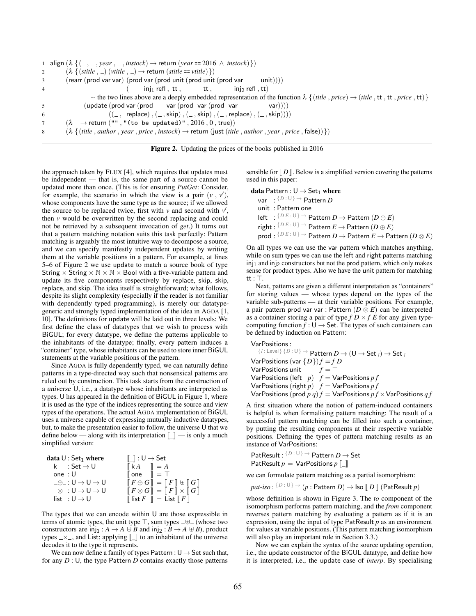```
align return } (\text{year} == 2016 \land \text{instock}) \})2 return (stitute \, = = \, vitile) \})3 (rearr (prod var var) (prod var (prod unit (prod unit (prod var unit))))
4 ( injtt}, \text{tt}, \text{inj}_2 \text{ refl}, \text{tt})
               -- the two lines above are a deeply embedded representation of the function tt, tt, price, tt) \}5 (update (prod var (prod var (prod var (prod var var))))
6 replaceskip}), (-, \text{skip}), (-, \text{skip}), (-, \text{replace}), (-, \text{skip}))7 (\lambda = \rightarrowreturn ("", "(to be updated)", 2016, 0, true))
8 \{\hat{x} \in (\hat{x} \mid \hat{y}) \in (\hat{y} \mid \hat{y}) \land (\hat{z} \mid \hat{y}) \in (\hat{y} \mid \hat{y}) \land (\hat{z} \mid \hat{y}) \}
```
<span id="page-4-5"></span>Figure 2. Updating the prices of the books published in 2016

the approach taken by FLUX [\[4\]](#page-11-13), which requires that updates must be independent — that is, the same part of a source cannot be updated more than once. (This is for ensuring *[PutGet](#page-1-2)*: Consider, for example, the scenario in which the view is a pair  $(v, v')$ , whose components have the same type as the source; if we allowed the source to be replaced twice, first with  $v$  and second with  $v'$ , then  $\nu$  would be overwritten by the second replacing and could not be retrieved by a subsequent invocation of *[get](#page-1-0)*.) It turns out that a pattern matching notation suits this task perfectly: Pattern matching is arguably the most intuitive way to decompose a source, and we can specify manifestly independent updates by writing them at the variable positions in a pattern. For example, at lines 5–6 of [Figure 2](#page-4-5) we use [update](#page-3-2) to match a source book of type String  $\times$  String  $\times \mathbb{N} \times \mathbb{N} \times$  Bool with a five-variable pattern and update its five components respectively by [replace](#page-3-5), [skip](#page-3-7), [skip](#page-3-7), [replace](#page-3-5), and [skip](#page-3-7). The idea itself is straightforward; what follows, despite its slight complexity (especially if the reader is not familiar with dependently typed programming), is merely our datatypegeneric and strongly typed implementation of the idea in AGDA [\[1,](#page-11-18) [10\]](#page-11-19). The definitions for [update](#page-3-2) will be laid out in three levels: We first define the class of datatypes that we wish to process with [BiGUL](#page-3-0); for every datatype, we define the patterns applicable to the inhabitants of the datatype; finally, every pattern induces a "container" type, whose inhabitants can be used to store inner [BiGUL](#page-3-0) statements at the variable positions of the pattern.

Since AGDA is fully dependently typed, we can naturally define patterns in a type-directed way such that nonsensical patterns are ruled out by construction. This task starts from the construction of a universe [U](#page-4-0), i.e., a datatype whose inhabitants are interpreted as types. [U](#page-4-0) has appeared in the definition of [BiGUL](#page-3-0) in [Figure 1,](#page-3-1) where it is used as the type of the indices representing the source and view types of the operations. The actual AGDA implementation of [BiGUL](#page-3-0) uses a universe capable of expressing mutually inductive datatypes, but, to make the presentation easier to follow, the universe U that we define below — along with its interpretation  $\llbracket \cdot \rrbracket$  — is only a much simplified version:

<span id="page-4-12"></span><span id="page-4-11"></span><span id="page-4-1"></span>

| data $\cup$ : Set <sub>1</sub> where                           | $\  \_ \  : \mathsf{U} \to \mathsf{Set}$                                                     |
|----------------------------------------------------------------|----------------------------------------------------------------------------------------------|
| k : Set $\rightarrow$ U                                        | $\begin{bmatrix} kA & l \end{bmatrix} = A$                                                   |
| one : $\mathsf{U}$                                             | $\lceil \text{one} \rceil = \top$                                                            |
| $\Box \oplus \Box : \mathsf{U} \to \mathsf{U} \to \mathsf{U}$  | $\llbracket F \oplus G \rrbracket = \llbracket F \rrbracket \uplus \llbracket G \rrbracket$  |
| $\Box \otimes \Box : \mathsf{U} \to \mathsf{U} \to \mathsf{U}$ | $\llbracket F \otimes G \rrbracket = \llbracket F \rrbracket \times \llbracket G \rrbracket$ |
| list : $U \rightarrow U$                                       | $\llbracket \text{ list } F \rrbracket = \text{ List } \llbracket F \rrbracket$              |
|                                                                |                                                                                              |

<span id="page-4-13"></span><span id="page-4-9"></span><span id="page-4-3"></span>The types that we can encode within [U](#page-4-0) are those expressible in terms of atomic types, the unit type  $\top$ , sum types  $\bot \oplus \bot$  (whose two constructors are  $\text{inj}_1 : A \to A \oplus B$  and  $\text{inj}_2 : B \to A \oplus B$ , product types  $\Box \times \Box$ , and List; applying  $\llbracket \Box \rrbracket$  to an inhabitant of the universe decodes it to the type it represents.

We can now define a family of types [Pattern](#page-4-4) :  $U \rightarrow$  $U \rightarrow$  Set such that, for any *D* : [U](#page-4-0), the type [Pattern](#page-4-4) *D* contains exactly those patterns

sensible for  $\llbracket D \rrbracket$ . Below is a simplified version covering the patterns used in this paper:

<span id="page-4-14"></span><span id="page-4-8"></span><span id="page-4-7"></span><span id="page-4-4"></span>**data** Pattern : 
$$
U \rightarrow Set_1
$$
 where  
\nvar : { $D:U$ }  $\rightarrow$  Pattern *D*  
\nunit : Pattern one  
\nleft : { $DE:U$ }  $\rightarrow$  Pattern  $D \rightarrow$  Pattern  $(D \oplus E)$   
\nright : { $DE:U$ }  $\rightarrow$  Pattern  $E \rightarrow$  Pattern  $(D \oplus E)$   
\nprod : { $DE:U$ }  $\rightarrow$  Pattern  $D \rightarrow$  Pattern  $E \rightarrow$  Pattern  $(D \otimes E)$ 

<span id="page-4-15"></span><span id="page-4-6"></span>On all types we can use the [var](#page-4-7) pattern which matches anything, while on sum types we can use the [left](#page-4-14) and [right](#page-4-15) patterns matching  $\text{inj}_1$  $\text{inj}_1$  $\text{inj}_1$  and  $\text{inj}_2$  constructors but not the [prod](#page-4-6) pattern, which only makes sense for product types. Also we have the [unit](#page-4-8) pattern for matching  $tt$ :  $T$ .

Next, patterns are given a different interpretation as "containers" for storing values — whose types depend on the types of the variable sub-patterns — at their variable positions. For example, a pair pattern [prod](#page-4-6) [var var](#page-4-7) : [Pattern](#page-4-4) (*D* [⊗](#page-4-13) *E*) can be interpreted as a container storing a pair of type  $f D \times f E$  for any given typecomputing function  $\tilde{f} : \tilde{U} \to$  $\tilde{f} : \tilde{U} \to$  $\tilde{f} : \tilde{U} \to$  Set. The types of such containers can be defined by induction on [Pattern](#page-4-4):

<span id="page-4-16"></span>VarPositions :  ${l : \text{Level} } \{D : \text{U}\} \rightarrow \text{Pattern } D \rightarrow (\text{U} \rightarrow \text{Set } {l}) \rightarrow \text{Set } {l}$  ${l : \text{Level} } \{D : \text{U}\} \rightarrow \text{Pattern } D \rightarrow (\text{U} \rightarrow \text{Set } {l}) \rightarrow \text{Set } {l}$  ${l : \text{Level} } \{D : \text{U}\} \rightarrow \text{Pattern } D \rightarrow (\text{U} \rightarrow \text{Set } {l}) \rightarrow \text{Set } {l}$  ${l : \text{Level} } \{D : \text{U}\} \rightarrow \text{Pattern } D \rightarrow (\text{U} \rightarrow \text{Set } {l}) \rightarrow \text{Set } {l}$  ${l : \text{Level} } \{D : \text{U}\} \rightarrow \text{Pattern } D \rightarrow (\text{U} \rightarrow \text{Set } {l}) \rightarrow \text{Set } {l}$ [VarPositions](#page-4-16)  $\text{(var } \{D\})f = f D$  $\text{(var } \{D\})f = f D$  $\text{(var } \{D\})f = f D$ [VarPositions](#page-4-16) [unit](#page-4-8)  $f = T$ [VarPositions](#page-4-16) ([left](#page-4-14)  $p$ )  $f =$  VarPositions  $pf$ [VarPositions](#page-4-16) ([right](#page-4-15)  $p$ )  $f =$  VarPositions  $pf$ [VarPositions](#page-4-16) ([prod](#page-4-6)  $p q$ )  $f =$  VarPositions  $pf \times$  VarPositions  $q f$ 

<span id="page-4-2"></span><span id="page-4-0"></span>A first situation where the notion of pattern-induced containers is helpful is when formalising pattern matching: The result of a successful pattern matching can be filled into such a container, by putting the resulting components at their respective variable positions. Defining the types of pattern matching results as an instance of [VarPositions](#page-4-16):

<span id="page-4-17"></span>
$$
PatResult: {D: U} \rightarrow Pattern D \rightarrow Set
$$
  

$$
PatResult p = VarPositions p[[...]]
$$

we can formulate pattern matching as a partial isomorphism:

 $pat\text{-}iso: \{D:\text{U}\} \rightarrow (p:\textsf{Pattern }D) \rightarrow \textsf{Iso} \text{ } [\![\,D\,]\!]$  $pat\text{-}iso: \{D:\text{U}\} \rightarrow (p:\textsf{Pattern }D) \rightarrow \textsf{Iso} \text{ } [\![\,D\,]\!]$  $pat\text{-}iso: \{D:\text{U}\} \rightarrow (p:\textsf{Pattern }D) \rightarrow \textsf{Iso} \text{ } [\![\,D\,]\!]$  $pat\text{-}iso: \{D:\text{U}\} \rightarrow (p:\textsf{Pattern }D) \rightarrow \textsf{Iso} \text{ } [\![\,D\,]\!]$  $pat\text{-}iso: \{D:\text{U}\} \rightarrow (p:\textsf{Pattern }D) \rightarrow \textsf{Iso} \text{ } [\![\,D\,]\!]$  $pat\text{-}iso: \{D:\text{U}\} \rightarrow (p:\textsf{Pattern }D) \rightarrow \textsf{Iso} \text{ } [\![\,D\,]\!]$  $pat\text{-}iso: \{D:\text{U}\} \rightarrow (p:\textsf{Pattern }D) \rightarrow \textsf{Iso} \text{ } [\![\,D\,]\!]$  $pat\text{-}iso: \{D:\text{U}\} \rightarrow (p:\textsf{Pattern }D) \rightarrow \textsf{Iso} \text{ } [\![\,D\,]\!]$   $(\textsf{PatResult }p)$  $(\textsf{PatResult }p)$  $(\textsf{PatResult }p)$ 

whose definition is shown in [Figure 3.](#page-5-5) The *[to](#page-3-13)* component of the isomorphism performs pattern matching, and the *[from](#page-3-14)* component reverses pattern matching by evaluating a pattern as if it is an expression, using the input of type [PatResult](#page-4-17) *p* as an environment for values at variable positions. (This pattern matching isomorphism will also play an important role in [Section 3.3.](#page-5-3))

<span id="page-4-10"></span>Now we can explain the syntax of the source updating operation, i.e., the [update](#page-3-2) constructor of the [BiGUL](#page-3-0) datatype, and define how it is interpreted, i.e., the [update](#page-3-2) case of *[interp](#page-3-12)*. By specialising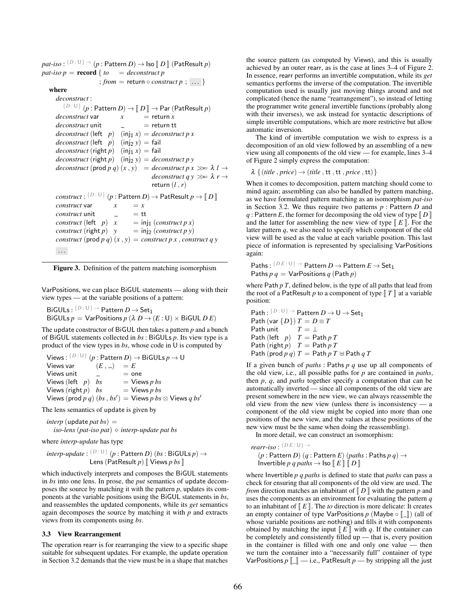<span id="page-5-4"></span> $pat\text{-}iso: \{D: \cup\} \rightarrow (p:\textsf{Pattern }D) \rightarrow \textsf{Iso } [D]$  $pat\text{-}iso: \{D: \cup\} \rightarrow (p:\textsf{Pattern }D) \rightarrow \textsf{Iso } [D]$  $pat\text{-}iso: \{D: \cup\} \rightarrow (p:\textsf{Pattern }D) \rightarrow \textsf{Iso } [D]$  $pat\text{-}iso: \{D: \cup\} \rightarrow (p:\textsf{Pattern }D) \rightarrow \textsf{Iso } [D]$  $pat\text{-}iso: \{D: \cup\} \rightarrow (p:\textsf{Pattern }D) \rightarrow \textsf{Iso } [D]$  ([PatResult](#page-4-17) *p*) *[pat](#page-5-4)-iso*  $p = \text{record} \{ to = deconstruct p \}$  $p = \text{record} \{ to = deconstruct p \}$  $p = \text{record} \{ to = deconstruct p \}$  $p = \text{record} \{ to = deconstruct p \}$  $p = \text{record} \{ to = deconstruct p \}$ 

```
fromreturnconstruct p; ...
```
where

<span id="page-5-6"></span>*deconstruct* :  ${D: \cup\} (p :$  [Pattern](#page-4-4)  $D) \to \llbracket D \rrbracket \to$  [Par](#page-1-7) ([PatResult](#page-4-17) *p*)  $deconstruct \, \text{var} \quad x = \text{return} \, x$  $deconstruct \, \text{var} \quad x = \text{return} \, x$  $deconstruct \, \text{var} \quad x = \text{return} \, x$  $deconstruct \, \text{var} \quad x = \text{return} \, x$  $deconstruct \, \text{var} \quad x = \text{return} \, x$  $deconstruct \, \text{var} \quad x = \text{return} \, x$  $deconstruct \text{ unit}$  $deconstruct \text{ unit}$  $deconstruct \text{ unit}$  $deconstruct \text{ unit}$  = [return](#page-1-14) [tt](#page-3-23) *[deconstruct](#page-5-6)* ([left](#page-4-14) *p*) ([inj](#page-4-9)<sub>1</sub> *x*) = *deconstruct p x [deconstruct](#page-5-6)* ([left](#page-4-14)  $p$ ) ([inj](#page-4-10)<sub>2</sub> *y*) = [fail](#page-1-15) *[deconstruct](#page-5-6)* ([right](#page-4-15) *p*) ([inj](#page-4-9)<sub>1</sub> *x*) = [fail](#page-1-15) *[deconstruct](#page-5-6)* ([right](#page-4-15) *p*) ([inj](#page-4-10)<sub>2</sub> *y*) = *deconstruct p y [deconstruct](#page-5-6)* ([prod](#page-4-6) *p q*)  $(x, y) =$  *deconstruct*  $p x \gg \lambda l \rightarrow$ *[deconstruct](#page-5-6)*  $q y \gg \lambda r \rightarrow$ [return](#page-1-14)  $(l, r)$  $\text{construct} : \{D : \mathsf{U}\}$  $\text{construct} : \{D : \mathsf{U}\}$  $\text{construct} : \{D : \mathsf{U}\}$  ( $p : \mathsf{Pattern}\ D) \to \mathsf{PatResult}$  $p : \mathsf{Pattern}\ D) \to \mathsf{PatResult}$  $p : \mathsf{Pattern}\ D) \to \mathsf{PatResult}$  $p : \mathsf{Pattern}\ D) \to \mathsf{PatResult}$  $p : \mathsf{Pattern}\ D) \to \mathsf{PatResult}$   $p \to \llbracket D \rrbracket$ *[construct](#page-5-7)* [var](#page-4-7)  $x = x$  $construct \text{ unit}$  $construct \text{ unit}$  $construct \text{ unit}$  $construct \text{ unit}$   $= \text{tt}$  $= \text{tt}$  $= \text{tt}$ *[construct](#page-5-7)* ([left](#page-4-14) *p*)  $x = inj_1$  $x = inj_1$  $x = inj_1$  (*construct p x*) *[construct](#page-5-7)* ([right](#page-4-15) *p*)  $y = inj_2$  $y = inj_2$  $y = inj_2$  (*construct p y*) *[construct](#page-5-7)* ([prod](#page-4-6) *p q*)  $(x, y) =$  *construct p x, construct q y* . . .

<span id="page-5-7"></span><span id="page-5-5"></span>

[VarPositions](#page-4-16), we can place [BiGUL](#page-3-0) statements — along with their view types — at the variable positions of a pattern:

<span id="page-5-0"></span> $\mathsf{BiGULs}\colon{}^{\{D:\,\bigcup\,\}}\to\mathsf{Pattern}\, D\to\mathsf{Set}_1$  $\mathsf{BiGULs}\colon{}^{\{D:\,\bigcup\,\}}\to\mathsf{Pattern}\, D\to\mathsf{Set}_1$  $\mathsf{BiGULs}\colon{}^{\{D:\,\bigcup\,\}}\to\mathsf{Pattern}\, D\to\mathsf{Set}_1$  $\mathsf{BiGULs}\colon{}^{\{D:\,\bigcup\,\}}\to\mathsf{Pattern}\, D\to\mathsf{Set}_1$  $\mathsf{BiGULs}\colon{}^{\{D:\,\bigcup\,\}}\to\mathsf{Pattern}\, D\to\mathsf{Set}_1$ [BiGULs](#page-5-0)  $p = \text{VarPositions } p \ (\lambda \ D \rightarrow (E : \mathsf{U}) \times \text{BiGUL } D E)$  $p = \text{VarPositions } p \ (\lambda \ D \rightarrow (E : \mathsf{U}) \times \text{BiGUL } D E)$  $p = \text{VarPositions } p \ (\lambda \ D \rightarrow (E : \mathsf{U}) \times \text{BiGUL } D E)$  $p = \text{VarPositions } p \ (\lambda \ D \rightarrow (E : \mathsf{U}) \times \text{BiGUL } D E)$  $p = \text{VarPositions } p \ (\lambda \ D \rightarrow (E : \mathsf{U}) \times \text{BiGUL } D E)$  $p = \text{VarPositions } p \ (\lambda \ D \rightarrow (E : \mathsf{U}) \times \text{BiGUL } D E)$  $p = \text{VarPositions } p \ (\lambda \ D \rightarrow (E : \mathsf{U}) \times \text{BiGUL } D E)$ 

The [update](#page-3-2) constructor of [BiGUL](#page-3-0) then takes a pattern *p* and a bunch of [BiGUL](#page-3-0) statements collected in *bs* : [BiGULs](#page-5-0) *p*. Its view type is a product of the view types in *bs*, whose code in [U](#page-4-0) is computed by

<span id="page-5-1"></span> $\mathsf{Views} : \{\mathsf{D} : \mathsf{U}\}$  $\mathsf{Views} : \{\mathsf{D} : \mathsf{U}\}$  $\mathsf{Views} : \{\mathsf{D} : \mathsf{U}\}$   $(p: \mathsf{Pattern}\, D) \rightarrow \mathsf{BiGULs}\, p \rightarrow \mathsf{U}$  $(p: \mathsf{Pattern}\, D) \rightarrow \mathsf{BiGULs}\, p \rightarrow \mathsf{U}$  $(p: \mathsf{Pattern}\, D) \rightarrow \mathsf{BiGULs}\, p \rightarrow \mathsf{U}$  $(p: \mathsf{Pattern}\, D) \rightarrow \mathsf{BiGULs}\, p \rightarrow \mathsf{U}$  $(p: \mathsf{Pattern}\, D) \rightarrow \mathsf{BiGULs}\, p \rightarrow \mathsf{U}$ [Views](#page-5-1) [var](#page-4-7)  $(E, \_) = E$ [Views](#page-5-1) [unit](#page-4-8)  $=$   $=$  [one](#page-4-1) [Views](#page-5-1) ([left](#page-4-14)  $p$ ) *bs* = Views *p bs* [Views](#page-5-1)  $(right p)$  $(right p)$  $(right p)$  *bs* = Views *p bs*  $\mathsf{V}$ iews ([prod](#page-4-6)  $p \mid q \mid (bs \mid, bs') = \mathsf{V}$ iews  $p \mid bs \otimes \mathsf{V}$ iews  $q \mid bs'$ 

The lens semantics of [update](#page-3-2) is given by

 $\text{interp}$  $\text{interp}$  $\text{interp}$  ([update](#page-3-2) *pat bs*) = *iso*-*[lens](#page-3-16)* (*[pat](#page-5-4)*-*iso pat*) *interp*-*[update](#page-5-8) pat bs*

where *interp*-*[update](#page-5-8)* has type

<span id="page-5-8"></span>
$$
\begin{array}{c}\n\text{interp-update: } \{D: \cup\} \ (p:\mathsf{Pattern}\ D) \ (bs:\mathsf{BiGULs}\ p) \rightarrow \\
\text{Lens (PatResult}\ p) \llbracket \ \mathsf{Views}\ p \ bs \rrbracket\n\end{array}
$$

which inductively interprets and composes the [BiGUL](#page-3-0) statements in *bs* into one lens. In prose, the *[put](#page-1-1)* semantics of [update](#page-3-2) decomposes the source by matching it with the pattern *p*, updates its components at the variable positions using the [BiGUL](#page-3-0) statements in *bs*, and reassembles the updated components, while its *[get](#page-1-0)* semantics again decomposes the source by matching it with *p* and extracts views from its components using *bs*.

#### <span id="page-5-3"></span>3.3 View Rearrangement

The operation [rearr](#page-3-4) is for rearranging the view to a specific shape suitable for subsequent updates. For example, the [update](#page-3-2) operation in [Section 3.2](#page-3-3) demands that the view must be in a shape that matches the source pattern (as computed by [Views](#page-5-1)), and this is usually achieved by an outer [rearr](#page-3-4), as is the case at lines 3–4 of [Figure 2.](#page-4-5) In essence, [rearr](#page-3-4) performs an invertible computation, while its *[get](#page-1-0)* semantics performs the inverse of the computation. The invertible computation used is usually just moving things around and not complicated (hence the name "rearrangement"), so instead of letting the programmer write general invertible functions (probably along with their inverses), we ask instead for syntactic descriptions of simple invertible computations, which are more restrictive but allow automatic inversion.

The kind of invertible computation we wish to express is a decomposition of an old view followed by an assembling of a new view using all components of the old view — for example, lines 3–4 of [Figure 2](#page-4-5) simply express the computation:

$$
\lambda \{ (title, price) \rightarrow (title, tt, tt, price, tt) \}
$$

When it comes to decomposition, pattern matching should come to mind again; assembling can also be handled by pattern matching, as we have formulated pattern matching as an isomorphism *[pat](#page-5-4)*-*iso* in [Section 3.2.](#page-3-3) We thus require two patterns *p* : [Pattern](#page-4-4) *D* and *q* : [Pattern](#page-4-4) *E*, the former for decomposing the old view of type  $\llbracket D \rrbracket$ and the latter for assembling the new view of type  $\llbracket E \rrbracket$ . For the latter pattern  $q$ , we also need to specify which component of the old view will be used as the value at each variable position. This last piece of information is represented by specialising [VarPositions](#page-4-16) again:

<span id="page-5-2"></span>Paths: 
$$
{D E : U} \rightarrow
$$
 Pattern  $D \rightarrow$  Pattern  $E \rightarrow$  Set<sub>1</sub>  
Paths  $p q =$  VarPositions  $q$  (Path  $p$ )

where [Path](#page-5-9) *p T*, defined below, is the type of all paths that lead from the root of a [PatResult](#page-4-17) *p* to a component of type  $\llbracket T \rrbracket$  at a variable position:

<span id="page-5-9"></span> $\mathsf{Path}:{}^{\{D:\,\mathsf{U}\}\rightarrow}\mathsf{Pattern}\, D\rightarrow\mathsf{U}\rightarrow\mathsf{Set}_1$  $\mathsf{Path}:{}^{\{D:\,\mathsf{U}\}\rightarrow}\mathsf{Pattern}\, D\rightarrow\mathsf{U}\rightarrow\mathsf{Set}_1$  $\mathsf{Path}:{}^{\{D:\,\mathsf{U}\}\rightarrow}\mathsf{Pattern}\, D\rightarrow\mathsf{U}\rightarrow\mathsf{Set}_1$  $\mathsf{Path}:{}^{\{D:\,\mathsf{U}\}\rightarrow}\mathsf{Pattern}\, D\rightarrow\mathsf{U}\rightarrow\mathsf{Set}_1$  $\mathsf{Path}:{}^{\{D:\,\mathsf{U}\}\rightarrow}\mathsf{Pattern}\, D\rightarrow\mathsf{U}\rightarrow\mathsf{Set}_1$ [Path](#page-5-9) ([var](#page-4-7)  $\{D\}$ )  $T = D \equiv T$ <br>Path unit  $T = 1$  $T = \bot$ [Path](#page-5-9) ([left](#page-4-14)  $p$ )  $T =$  Path  $pT$ [Path](#page-5-9)  $(right p)$  $(right p)$  $(right p)$   $T = Path pT$ [Path](#page-5-9) ([prod](#page-4-6)  $p q$ )  $T =$  Path  $p T \oplus$  Path  $q T$ 

If a given bunch of *paths* : [Paths](#page-5-2) *p q* use up all components of the old view, i.e., all possible paths for *p* are contained in *paths*, then *p*, *q*, and *paths* together specify a computation that can be automatically inverted — since all components of the old view are present somewhere in the new view, we can always reassemble the old view from the new view (unless there is inconsistency — a component of the old view might be copied into more than one positions of the new view, and the values at these positions of the new view must be the same when doing the reassembling).

In more detail, we can construct an isomorphism:

<span id="page-5-11"></span>*rearr-iso*: 
$$
{D E : U} \rightarrow
$$
  
(*p* : Pattern *D*) (*q* : Pattern *E*) (*paths* : Paths *p q*)  $\rightarrow$   
Invertible *p q paths*  $\rightarrow$  Iso [ $E$  ] [  $D$  ]

<span id="page-5-10"></span>where Invertible *p q paths* is defined to state that *paths* can pass a check for ensuring that all components of the old view are used. The *[from](#page-3-14)* direction matches an inhabitant of  $\n *D*\n *l*\n *u* with the pattern *p* and$ uses the components as an environment for evaluating the pattern *q* [to](#page-3-13) an inhabitant of  $\llbracket E \rrbracket$ . The *to* direction is more delicate: It creates an empty container of type [VarPositions](#page-4-16)  $p$  ([Maybe](#page-1-8)  $\circ$  [[\\_](#page-4-2)]) (all of whose variable positions are [nothing](#page-1-10)) and fills it with components obtained by matching the input  $\llbracket E \rrbracket$  with *q*. If the container can be completely and consistently filled up — that is, every position in the container is filled with one and only one value — then we turn the container into a "necessarily full" container of type [VarPositions](#page-4-16)  $p \llbracket \cdot \rrbracket$  — i.e., [PatResult](#page-4-17)  $p$  — by stripping all the [just](#page-1-9)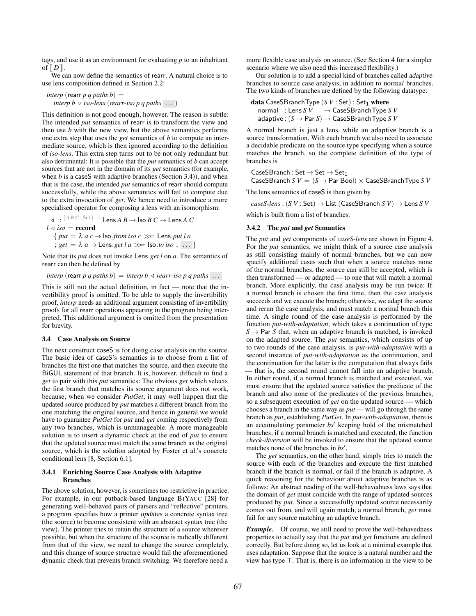tags, and use it as an environment for evaluating *p* to an inhabitant of  $\llbracket D \rrbracket$ .

We can now define the semantics of [rearr](#page-3-4). A natural choice is to use lens composition defined in [Section 2.2:](#page-2-1)

*[interp](#page-3-12)* ([rearr](#page-3-4)  $p$   $q$   $paths$   $b)$   $=$ *[interp](#page-3-12)*  $b \diamond$  *iso-[lens](#page-3-16)* (*[rearr](#page-5-11)-iso*  $p$   $q$   $paths$   $\dots$  )

This definition is not good enough, however. The reason is subtle: The intended *[put](#page-1-1)* semantics of [rearr](#page-3-4) is to transform the view and then use *b* with the new view, but the above semantics performs one extra step that uses the *[get](#page-1-0)* semantics of *b* to compute an intermediate source, which is then ignored according to the definition of *iso*-*[lens](#page-3-16)*. This extra step turns out to be not only redundant but also detrimental: It is possible that the *[put](#page-1-1)* semantics of *b* can accept sources that are not in the domain of its *[get](#page-1-0)* semantics (for example, when  $b$  is a [caseS](#page-3-10) with adaptive branches [\(Section 3.4\)](#page-6-0)), and when that is the case, the intended *[put](#page-1-1)* semantics of [rearr](#page-3-4) should compute successfully, while the above semantics will fail to compute due to the extra invocation of *[get](#page-1-0)*. We hence need to introduce a more specialised operator for composing a lens with an isomorphism:

<span id="page-6-1"></span>
$$
\exists \Delta_{-}: \{AB \ C:\} \exists \text{et} \} \rightarrow \text{Lens } AB \rightarrow \text{Iso } B C \rightarrow \text{Lens } A C
$$
\n
$$
l \triangleleft iso = \text{record}
$$
\n
$$
\{ put = \lambda ac \rightarrow \text{Iso.from} \ iso c \gg\equiv \text{Lens}.put la
$$
\n
$$
; get = \lambda a \rightarrow \text{Lens}.get la \gg\text{iso.} to iso ; ...
$$

Note that its *[put](#page-1-1)* does not invoke [Lens](#page-1-16).*[get](#page-1-0) l* on *a*. The semantics of [rearr](#page-3-4) can then be defined by

*[interp](#page-3-12)* ([rearr](#page-5-11) *p q paths b*) = *interp b*  $\triangleleft$  *rearr-iso p q paths* ...

This is still not the actual definition, in fact — note that the invertibility proof is omitted. To be able to supply the invertibility proof, *[interp](#page-3-12)* needs an additional argument consisting of invertibility proofs for all [rearr](#page-3-4) operations appearing in the program being interpreted. This additional argument is omitted from the presentation for brevity.

#### <span id="page-6-0"></span>3.4 Case Analysis on Source

The next construct [caseS](#page-3-10) is for doing case analysis on the source. The basic idea of [caseS](#page-3-10)'s semantics is to choose from a list of branches the first one that matches the source, and then execute the [BiGUL](#page-3-0) statement of that branch. It is, however, difficult to find a *[get](#page-1-0)* to pair with this *[put](#page-1-1)* semantics: The obvious *[get](#page-1-0)* which selects the first branch that matches its source argument does not work, because, when we consider *[PutGet](#page-1-2)*, it may well happen that the updated source produced by *[put](#page-1-1)* matches a different branch from the one matching the original source, and hence in general we would have to guarantee *[PutGet](#page-1-2)* for *[put](#page-1-1)* and *[get](#page-1-0)* coming respectively from any two branches, which is unmanageable. A more manageable solution is to insert a dynamic check at the end of *[put](#page-1-1)* to ensure that the updated source must match the same branch as the original source, which is the solution adopted by Foster et al.'s concrete conditional lens [\[8,](#page-11-3) Section 6.1].

#### 3.4.1 Enriching Source Case Analysis with Adaptive Branches

The above solution, however, is sometimes too restrictive in practice. For example, in our putback-based language BIYACC [\[28\]](#page-11-20) for generating well-behaved pairs of parsers and "reflective" printers, a program specifies how a printer updates a concrete syntax tree (the source) to become consistent with an abstract syntax tree (the view). The printer tries to retain the structure of a source wherever possible, but when the structure of the source is radically different from that of the view, we need to change the source completely, and this change of source structure would fail the aforementioned dynamic check that prevents branch switching. We therefore need a

more flexible case analysis on source. (See [Section 4](#page-9-0) for a simpler scenario where we also need this increased flexibility.)

Our solution is to add a special kind of branches called adaptive branches to source case analysis, in addition to normal branches. The two kinds of branches are defined by the following datatype:

```
data CaseSBranchType (SV:Set): Set_1 where
  normalLens S V \rightarrow \text{CaseSB}ranchType S Vadaptive : (S → Par S) → CaseSBranchType S V
```
<span id="page-6-4"></span>A [normal](#page-6-3) branch is just a lens, while an [adaptive](#page-6-4) branch is a source transformation. With each branch we also need to associate a decidable predicate on the source type specifying when a source matches the branch, so the complete definition of the type of branches is

<span id="page-6-5"></span>CaseSBranch : Set  $\rightarrow$  Set  $\rightarrow$  Set<sub>1</sub>

[CaseSBranch](#page-6-5)  $SV = (S \rightarrow \text{Par} \text{Bool}) \times \text{CaseS} \text{BranchType } SV$  $SV = (S \rightarrow \text{Par} \text{Bool}) \times \text{CaseS} \text{BranchType } SV$  $SV = (S \rightarrow \text{Par} \text{Bool}) \times \text{CaseS} \text{BranchType } SV$ 

The lens semantics of [caseS](#page-3-10) is then given by

 $caseS$ -*lens* :  $(S V : Set) \rightarrow List (CaseSBranch S V) \rightarrow Lens S V$  $(S V : Set) \rightarrow List (CaseSBranch S V) \rightarrow Lens S V$  $(S V : Set) \rightarrow List (CaseSBranch S V) \rightarrow Lens S V$  $(S V : Set) \rightarrow List (CaseSBranch S V) \rightarrow Lens S V$  $(S V : Set) \rightarrow List (CaseSBranch S V) \rightarrow Lens S V$ 

which is built from a list of branches.

### <span id="page-6-6"></span>3.4.2 The *put* and *get* Semantics

The *[put](#page-1-1)* and *[get](#page-1-0)* components of *[caseS](#page-7-1)*-*lens* are shown in [Figure 4.](#page-7-2) For the *[put](#page-1-1)* semantics, we might think of a source case analysis as still consisting mainly of normal branches, but we can now specify additional cases such that when a source matches none of the normal branches, the source can still be accepted, which is then transformed — or adapted — to one that will match a normal branch. More explicitly, the case analysis may be run twice: If a normal branch is chosen the first time, then the case analysis succeeds and we execute the branch; otherwise, we adapt the source and rerun the case analysis, and must match a normal branch this time. A single round of the case analysis is performed by the function *put*-*with*-*[adaptation](#page-7-3)*, which takes a continuation of type  $S \rightarrow$  [Par](#page-1-7) *S* that, when an adaptive branch is matched, is invoked on the adapted source. The *[put](#page-1-1)* semantics, which consists of up to two rounds of the case analysis, is *put*-*with*-*[adaptation](#page-7-3)* with a second instance of *put*-*with*-*[adaptation](#page-7-3)* as the continuation, and the continuation for the latter is the computation that always fails — that is, the second round cannot fall into an adaptive branch. In either round, if a normal branch is matched and executed, we must ensure that the updated source satisfies the predicate of the branch and also none of the predicates of the previous branches, so a subsequent execution of *[get](#page-1-0)* on the updated source — which chooses a branch in the same way as *[put](#page-1-1)* — will go through the same branch as *[put](#page-1-1)*, establishing *[PutGet](#page-1-2)*. In *put*-*with*-*[adaptation](#page-7-3)*, there is an accumulating parameter  $bs'$  keeping hold of the mismatched branches; if a normal branch is matched and executed, the function *check*-*[diversion](#page-7-4)* will be invoked to ensure that the updated source matches none of the branches in *bs'*.

The *[get](#page-1-0)* semantics, on the other hand, simply tries to match the source with each of the branches and execute the first matched branch if the branch is normal, or fail if the branch is adaptive. A quick reasoning for the behaviour about adaptive branches is as follows: An abstract reading of the well-behavedness laws says that the domain of *[get](#page-1-0)* must coincide with the range of updated sources produced by *[put](#page-1-1)*. Since a successfully updated source necessarily comes out from, and will again match, a normal branch, *[get](#page-1-0)* must fail for any source matching an adaptive branch.

*Example.* Of course, we still need to prove the well-behavedness properties to actually say that the *[put](#page-1-1)* and *[get](#page-1-0)* functions are defined correctly. But before doing so, let us look at a minimal example that uses adaptation. Suppose that the source is a natural number and the view has type  $\top$ . That is, there is no information in the view to be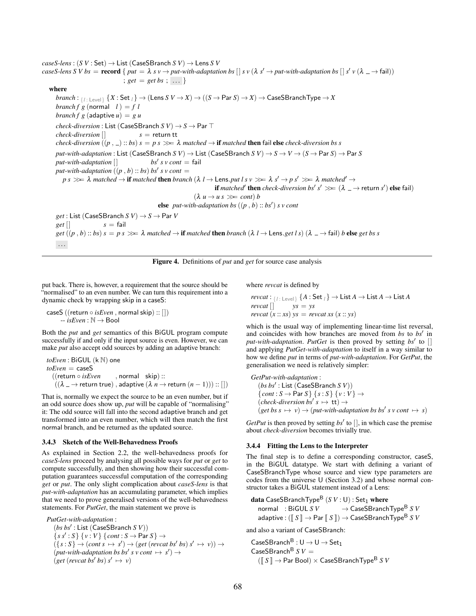<span id="page-7-5"></span><span id="page-7-4"></span><span id="page-7-3"></span><span id="page-7-1"></span> $caseS$ -*lens* :  $(SV : Set) \rightarrow List (CaseSBranch S V) \rightarrow Lens S V$  $(SV : Set) \rightarrow List (CaseSBranch S V) \rightarrow Lens S V$  $(SV : Set) \rightarrow List (CaseSBranch S V) \rightarrow Lens S V$  $(SV : Set) \rightarrow List (CaseSBranch S V) \rightarrow Lens S V$  $(SV : Set) \rightarrow List (CaseSBranch S V) \rightarrow Lens S V$ [caseS](#page-7-1)-lens S V bs = **record** {  $put = \lambda s v \rightarrow put-with-adaptation$  $put = \lambda s v \rightarrow put-with-adaptation$  $put = \lambda s v \rightarrow put-with-adaptation$  bs []  $s v (\lambda s' \rightarrow put-with-adaptation$  bs []  $s' v (\lambda \rightarrow fail))$  $s' v (\lambda \rightarrow fail))$  $s' v (\lambda \rightarrow fail))$ ;  $get = get bs ; ...$  $get = get bs ; ...$ where  $branch: \{l : \text{Level}\}$   $\{X : \mathsf{Set}\,l\} \rightarrow (\mathsf{Lens}\,S\,V \rightarrow X) \rightarrow ((S \rightarrow \mathsf{Par}\,S) \rightarrow X) \rightarrow \mathsf{CaseSBranchType} \rightarrow X$  $\{X : \mathsf{Set}\,l\} \rightarrow (\mathsf{Lens}\,S\,V \rightarrow X) \rightarrow ((S \rightarrow \mathsf{Par}\,S) \rightarrow X) \rightarrow \mathsf{CaseSBranchType} \rightarrow X$  $\{X : \mathsf{Set}\,l\} \rightarrow (\mathsf{Lens}\,S\,V \rightarrow X) \rightarrow ((S \rightarrow \mathsf{Par}\,S) \rightarrow X) \rightarrow \mathsf{CaseSBranchType} \rightarrow X$  $\{X : \mathsf{Set}\,l\} \rightarrow (\mathsf{Lens}\,S\,V \rightarrow X) \rightarrow ((S \rightarrow \mathsf{Par}\,S) \rightarrow X) \rightarrow \mathsf{CaseSBranchType} \rightarrow X$  $\{X : \mathsf{Set}\,l\} \rightarrow (\mathsf{Lens}\,S\,V \rightarrow X) \rightarrow ((S \rightarrow \mathsf{Par}\,S) \rightarrow X) \rightarrow \mathsf{CaseSBranchType} \rightarrow X$  $\{X : \mathsf{Set}\,l\} \rightarrow (\mathsf{Lens}\,S\,V \rightarrow X) \rightarrow ((S \rightarrow \mathsf{Par}\,S) \rightarrow X) \rightarrow \mathsf{CaseSBranchType} \rightarrow X$  $\{X : \mathsf{Set}\,l\} \rightarrow (\mathsf{Lens}\,S\,V \rightarrow X) \rightarrow ((S \rightarrow \mathsf{Par}\,S) \rightarrow X) \rightarrow \mathsf{CaseSBranchType} \rightarrow X$ *[branch](#page-7-5)f*  $g$  ([normal](#page-6-3)  $l$ ) =  $f$   $l$ *[branch](#page-7-5)f g* ([adaptive](#page-6-4)  $u$ ) = *g u check-diversion* : List ([CaseSBranch](#page-6-5)  $S$   $V$ )  $\rightarrow$   $S$   $\rightarrow$  [Par](#page-1-7)  $\top$ *check*-*[diversion](#page-7-4)* [] *s* = [return](#page-1-14) [tt](#page-3-23) *check-[diversion](#page-7-4)*  $((p, \_) :: bs) s = p s \gg \lambda$  *matched*  $\rightarrow$  **if** *matched* **then** [fail](#page-1-15) **else** *check-diversion bs s put-with-adaptation* : List ([CaseSBranch](#page-6-5) *S V*)  $\rightarrow$  List (CaseSBranch *S V*)  $\rightarrow$  *S*  $\rightarrow$  *V*  $\rightarrow$  (*S*  $\rightarrow$  [Par](#page-1-7) *S*)  $\rightarrow$  Par *S put-with-[adaptation](#page-7-3)* []  $bs' s v cont = fail$  $bs' s v cont = fail$ *put-with-[adaptation](#page-7-3)*  $((p, b) :: bs)$  *bs*<sup>*'*</sup> *s v cont* =  $p s \ggg \lambda$  *matched*  $\rightarrow$  **if** *matched* **then** *[branch](#page-7-5)* ( $\lambda$  *l*  $\rightarrow$  **[Lens](#page-1-16)**.*[put](#page-1-1) l s*  $v \ggg \lambda$  *s'*  $\rightarrow$  *p s'*  $\ggg \lambda$  *matched'*  $\rightarrow$ if  $\mathit{matched}'$  then  $\mathit{check\text{-}diversion}\mathit{bs}'\mathit{s}' \gg=(\lambda\perp\rightarrow \mathit{return}\mathit{s}')$  $\mathit{check\text{-}diversion}\mathit{bs}'\mathit{s}' \gg=(\lambda\perp\rightarrow \mathit{return}\mathit{s}')$  $\mathit{check\text{-}diversion}\mathit{bs}'\mathit{s}' \gg=(\lambda\perp\rightarrow \mathit{return}\mathit{s}')$  $\mathit{check\text{-}diversion}\mathit{bs}'\mathit{s}' \gg=(\lambda\perp\rightarrow \mathit{return}\mathit{s}')$  $\mathit{check\text{-}diversion}\mathit{bs}'\mathit{s}' \gg=(\lambda\perp\rightarrow \mathit{return}\mathit{s}')$  else [fail](#page-1-15))  $(\lambda u \rightarrow u s \gg = cont) b$ **else** put-with-[adaptation](#page-7-3) bs  $((p, b) :: bs')$  *s v* cont  $get$  : List ([CaseSBranch](#page-6-5)  $S V$ )  $\rightarrow$   $S \rightarrow$  [Par](#page-1-7) *V*  $get []$   $s = fail$  $s = fail$ *[get](#page-1-0)*  $((p, b)$ :: *bs*)  $s = p s \gg \lambda$  *matched*  $\rightarrow$  **if** *matched* **then** *[branch](#page-7-5)* ( $\lambda$  *l*  $\rightarrow$  [Lens](#page-1-16).*get l s*) ( $\lambda$   $\rightarrow$  [fail](#page-1-15)) *b* else *get bs s* . . .

<span id="page-7-2"></span>

put back. There is, however, a requirement that the source should be "normalised" to an even number. We can turn this requirement into a dynamic check by wrapping [skip](#page-3-7) in a [caseS](#page-3-10):

<span id="page-7-6"></span>[caseS](#page-3-10) (([return](#page-1-14) ◦ *[isEven](#page-7-6)* , [normal](#page-6-3) [skip](#page-3-7)) :: [])  $-$  *isEven* :  $\mathbb{N} \rightarrow$  Bool

Both the *[put](#page-1-1)* and *[get](#page-1-0)* semantics of this [BiGUL](#page-3-0) program compute successfully if and only if the input source is even. However, we can make *[put](#page-1-1)* also accept odd sources by adding an adaptive branch:

<span id="page-7-7"></span>*toEven* : [BiGUL](#page-3-0) ([k](#page-4-11) N) [one](#page-4-1)  $toEven = caseS$  $toEven = caseS$  $toEven = caseS$ (([return](#page-1-14) ◦ *[isEven](#page-7-6)* , [normal](#page-6-3) [skip](#page-3-7)) ::  $((\lambda \rightarrow$  [return](#page-1-14) true), [adaptive](#page-6-4)  $(\lambda n \rightarrow$  return  $(n - 1))$ : [])

That is, normally we expect the source to be an even number, but if an odd source does show up, *[put](#page-1-1)* will be capable of "normalising" it: The odd source will fall into the second [adaptive](#page-7-8) branch and get transformed into an even number, which will then match the first [normal](#page-7-9) branch, and be returned as the updated source.

#### 3.4.3 Sketch of the Well-Behavedness Proofs

As explained in [Section 2.2,](#page-2-1) the well-behavedness proofs for *[caseS](#page-7-1)*-*lens* proceed by analysing all possible ways for *[put](#page-1-1)* or *[get](#page-1-0)* to compute successfully, and then showing how their successful computation guarantees successful computation of the corresponding *[get](#page-1-0)* or *[put](#page-1-1)*. The only slight complication about *[caseS](#page-7-1)*-*lens* is that *put*-*with*-*[adaptation](#page-7-3)* has an accumulating parameter, which implies that we need to prove generalised versions of the well-behavedness statements. For *[PutGet](#page-1-2)*, the main statement we prove is

*PutGet*-*with*-*adaptation* :

(*bs bs*<sup>0</sup> : List ([CaseSBranch](#page-6-5) *S V*))  $\{s s' : S\}$   $\{v : V\}$   $\{cont : S \rightarrow \text{Par } S \} \rightarrow$  $\{cont : S \rightarrow \text{Par } S \} \rightarrow$  $\{cont : S \rightarrow \text{Par } S \} \rightarrow$  $({s : S} \rightarrow (cont s \rightarrow s') \rightarrow (get (revcat bs' bs) s' \rightarrow v)) \rightarrow$  $({s : S} \rightarrow (cont s \rightarrow s') \rightarrow (get (revcat bs' bs) s' \rightarrow v)) \rightarrow$  $({s : S} \rightarrow (cont s \rightarrow s') \rightarrow (get (revcat bs' bs) s' \rightarrow v)) \rightarrow$  $(\text{put-with-}adaptation\ bs\ bs\ s\ v\ cont\ \mapsto\ s') \rightarrow$  $(\text{put-with-}adaptation\ bs\ bs\ s\ v\ cont\ \mapsto\ s') \rightarrow$  $(\text{put-with-}adaptation\ bs\ bs\ s\ v\ cont\ \mapsto\ s') \rightarrow$  $\left(\text{get} \left(\text{revcat}\, \text{bs}^{\prime}\, \text{bs}\right) \text{ s}^{\prime} \leftrightarrow \nu\right)$  $\left(\text{get} \left(\text{revcat}\, \text{bs}^{\prime}\, \text{bs}\right) \text{ s}^{\prime} \leftrightarrow \nu\right)$  $\left(\text{get} \left(\text{revcat}\, \text{bs}^{\prime}\, \text{bs}\right) \text{ s}^{\prime} \leftrightarrow \nu\right)$ 

where *[revcat](#page-7-10)* is defined by

```
\mathit{revcat}: \{\textrm{$l$}: \textrm{Level} \}} \{ A:\mathsf{Set}\,{\overline{l}} \} \rightarrow \mathsf{List}\,A \rightarrow \mathsf{List}\,A \rightarrow \mathsf{List}\,A \}revcat [] ys = ys
revcat (x:: xs) ys = revcat xs (x:: ys)
```
which is the usual way of implementing linear-time list reversal, and coincides with how branches are moved from *bs* to *bs'* in *put-with-[adaptation](#page-7-3). [PutGet](#page-1-2)* is then proved by setting  $bs'$  to [] and applying *PutGet*-*with*-*adaptation* to itself in a way similar to how we define *[put](#page-1-1)* in terms of *put*-*with*-*[adaptation](#page-7-3)*. For *[GetPut](#page-1-3)*, the generalisation we need is relatively simpler:

*GetPut*-*with*-*adaptation* : (*bs bs*<sup>0</sup> : List ([CaseSBranch](#page-6-5) *S V*))  $\{ cont : S \rightarrow \textsf{Par}\ S\}$  $\{ cont : S \rightarrow \textsf{Par}\ S\}$  $\{ cont : S \rightarrow \textsf{Par}\ S\}$   $\{s : S\}$   $\{v : V\}$   $\rightarrow$ (*check*-*[diversion](#page-7-4) bs*<sup>0</sup> *s* [7→](#page-2-2) [tt](#page-3-23)) →  $(\text{get } bs \text{ } s \mapsto \text{ } v) \rightarrow (\text{put-with-}adaptation \text{ } bs \text{ } bs \text{ } s \text{ } v \text{ } cont \mapsto s)$  $(\text{get } bs \text{ } s \mapsto \text{ } v) \rightarrow (\text{put-with-}adaptation \text{ } bs \text{ } bs \text{ } s \text{ } v \text{ } cont \mapsto s)$  $(\text{get } bs \text{ } s \mapsto \text{ } v) \rightarrow (\text{put-with-}adaptation \text{ } bs \text{ } bs \text{ } s \text{ } v \text{ } cont \mapsto s)$ 

 $GetPut$  is then proved by setting  $bs'$  to  $[]$ , in which case the premise about *check*-*[diversion](#page-7-4)* becomes trivially true.

#### 3.4.4 Fitting the Lens to the Interpreter

The final step is to define a corresponding constructor, [caseS](#page-3-10), in the [BiGUL](#page-3-0) datatype. We start with defining a variant of [CaseSBranchType](#page-6-2) whose source and view type parameters are codes from the universe [U](#page-4-0) [\(Section 3.2\)](#page-3-3) and whose [normal](#page-7-9) constructor takes a [BiGUL](#page-3-0) statement instead of a [Lens](#page-1-16):

```
data CaseSBranchType<sup>B</sup> U): Set<sub>1</sub> where
  BiGULCaseSBranchType}^\mathsf{B}\, S\, Vadaptive : ParCaseSBranchType}^{\mathbf{B}} S V
```
<span id="page-7-8"></span>and also a variant of [CaseSBranch](#page-6-5):

<span id="page-7-0"></span> $\mathsf{CaseSBranch}^{\mathsf{B}}: \mathsf{U} \to \mathsf{U} \to \mathsf{Set}_1$  $\mathsf{CaseSBranch}^{\mathsf{B}}: \mathsf{U} \to \mathsf{U} \to \mathsf{Set}_1$  $\mathsf{CaseSBranch}^{\mathsf{B}}: \mathsf{U} \to \mathsf{U} \to \mathsf{Set}_1$ [CaseSBranch](#page-7-0)<sup>B</sup>  $SV =$  $(\parallel S\parallel \rightarrow \textsf{Par} \text{Bool}) \times \textsf{CaseSBranchType}^{\textsf{B}} S$  $(\parallel S\parallel \rightarrow \textsf{Par} \text{Bool}) \times \textsf{CaseSBranchType}^{\textsf{B}} S$  $(\parallel S\parallel \rightarrow \textsf{Par} \text{Bool}) \times \textsf{CaseSBranchType}^{\textsf{B}} S$  $(\parallel S\parallel \rightarrow \textsf{Par} \text{Bool}) \times \textsf{CaseSBranchType}^{\textsf{B}} S$  $(\parallel S\parallel \rightarrow \textsf{Par} \text{Bool}) \times \textsf{CaseSBranchType}^{\textsf{B}} S$  *V*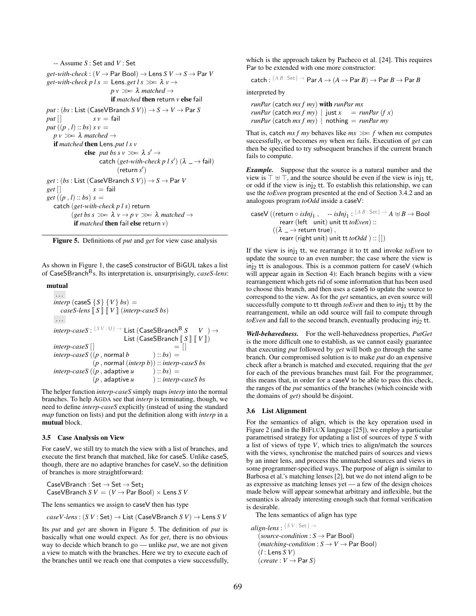<span id="page-8-2"></span>-- Assume *S* : Set and *V* : Set  $get\text{-}with\text{-}check: (V \rightarrow \text{Par } \text{Bool}) \rightarrow \text{Lens } S \text{ } V \rightarrow S \rightarrow \text{Par } V$  $get\text{-}with\text{-}check: (V \rightarrow \text{Par } \text{Bool}) \rightarrow \text{Lens } S \text{ } V \rightarrow S \rightarrow \text{Par } V$  $get\text{-}with\text{-}check: (V \rightarrow \text{Par } \text{Bool}) \rightarrow \text{Lens } S \text{ } V \rightarrow S \rightarrow \text{Par } V$  $get\text{-}with\text{-}check: (V \rightarrow \text{Par } \text{Bool}) \rightarrow \text{Lens } S \text{ } V \rightarrow S \rightarrow \text{Par } V$  $get\text{-}with\text{-}check: (V \rightarrow \text{Par } \text{Bool}) \rightarrow \text{Lens } S \text{ } V \rightarrow S \rightarrow \text{Par } V$ *get-with-[check](#page-8-2)*  $p \, l \, s =$  [Lens](#page-1-16).*[get](#page-1-0)*  $l \, s \gg \lambda \, v \rightarrow$  $p v \gg \lambda$  *matched*  $\rightarrow$ if *matched* then [return](#page-1-14) *v* else [fail](#page-1-15)  $put: (bs: List (Case VBranch S V)) \rightarrow S \rightarrow V \rightarrow Par S$  $put: (bs: List (Case VBranch S V)) \rightarrow S \rightarrow V \rightarrow Par S$  $put: (bs: List (Case VBranch S V)) \rightarrow S \rightarrow V \rightarrow Par S$  $put \begin{bmatrix} \cdot & \cdot & \cdot \\ \cdot & \cdot & \cdot \end{bmatrix}$ *put*  $((p, l) :: bs) s v =$  $p \vee \gg \lambda$  *matched*  $\rightarrow$ if *matched* then [Lens](#page-1-16).*[put](#page-1-1) l s v* else *put bs s*  $v \gg \lambda$  *s'*  $\rightarrow$  $\textsf{catch}\ (\textit{get-with-check}\ p\ \textit{ls}')\ (\lambda = \rightarrow \textsf{fail})$  $\textsf{catch}\ (\textit{get-with-check}\ p\ \textit{ls}')\ (\lambda = \rightarrow \textsf{fail})$  $\textsf{catch}\ (\textit{get-with-check}\ p\ \textit{ls}')\ (\lambda = \rightarrow \textsf{fail})$  $\textsf{catch}\ (\textit{get-with-check}\ p\ \textit{ls}')\ (\lambda = \rightarrow \textsf{fail})$  $\textsf{catch}\ (\textit{get-with-check}\ p\ \textit{ls}')\ (\lambda = \rightarrow \textsf{fail})$  $\textsf{catch}\ (\textit{get-with-check}\ p\ \textit{ls}')\ (\lambda = \rightarrow \textsf{fail})$  $\textsf{catch}\ (\textit{get-with-check}\ p\ \textit{ls}')\ (\lambda = \rightarrow \textsf{fail})$ ([return](#page-1-14) *s* 0 )  $get : (bs : List (Case VBranch S V)) \rightarrow S \rightarrow Par V$  $get : (bs : List (Case VBranch S V)) \rightarrow S \rightarrow Par V$  $get : (bs : List (Case VBranch S V)) \rightarrow S \rightarrow Par V$  $get \begin{bmatrix} \cdot & s = \text{fail} \end{bmatrix}$  $get \begin{bmatrix} \cdot & s = \text{fail} \end{bmatrix}$  $get \begin{bmatrix} \cdot & s = \text{fail} \end{bmatrix}$ 

*get*  $((p, l) :: bs) s =$ [catch](#page-8-4) (*get*-*with*-*[check](#page-8-2) p l s*) [return](#page-1-14)  $(\text{get bs s} \gg \lambda v \rightarrow p v \gg \lambda \text{ matched} \rightarrow$ 

<span id="page-8-6"></span>if *matched* then [fail](#page-1-15) else [return](#page-1-14) *v*)

Figure 5. Definitions of *[put](#page-1-1)* and *[get](#page-1-0)* for view case analysis

As shown in [Figure 1,](#page-3-1) the [caseS](#page-3-10) constructor of [BiGUL](#page-3-0) takes a list of [CaseSBranch](#page-7-0)Bs. Its interpretation is, unsurprisingly, *[caseS](#page-7-1)*-*lens*:

# mutual

```
. . .
interpcaseS \{S\} \{V\} bs) =
   caseS-lens \llbracket S \rrbracket \llbracket V \rrbracket (interp-caseS bs)
 . . .
\emph{interp-case} S: \ ^{\{S\,V\colon \cup\} \to}CaseSBranch<sup>B</sup> S V ) \toList CaseSBranch}} \left[ \begin{matrix} S \\ \end{matrix} \right] \left[ \begin{matrix} V \\ \end{matrix} \right]<br>= \begin{matrix} \cdot \\ \cdot \end{matrix}interpcases []
interpnormal } b \qquad )::bs) =(p , normal (interp b)) :: interp-caseS bs
interpadaptive } u) : b s) =(p , adaptive u ) :: interp-caseS bs
```
The helper function *[interp](#page-8-5)*-*caseS* simply maps *[interp](#page-3-12)* into the normal branches. To help AGDA see that *[interp](#page-3-12)* is terminating, though, we need to define *[interp](#page-8-5)*-*caseS* explicitly (instead of using the standard *map* function on lists) and put the definition along with *[interp](#page-3-12)* in a mutual block.

#### <span id="page-8-0"></span>3.5 Case Analysis on View

For [caseV](#page-3-11), we still try to match the view with a list of branches, and execute the first branch that matched, like for [caseS](#page-3-10). Unlike [caseS](#page-3-10), though, there are no adaptive branches for [caseV](#page-3-11), so the definition of branches is more straightforward:

<span id="page-8-3"></span>CaseVBranch : Set  $\rightarrow$  Set  $\rightarrow$  Set<sub>1</sub> [CaseVBranch](#page-8-3)  $SV = (V \rightarrow \text{Par} \text{Bool}) \times \text{Lens } SV$  $SV = (V \rightarrow \text{Par} \text{Bool}) \times \text{Lens } SV$  $SV = (V \rightarrow \text{Par} \text{Bool}) \times \text{Lens } SV$  $SV = (V \rightarrow \text{Par} \text{Bool}) \times \text{Lens } SV$  $SV = (V \rightarrow \text{Par} \text{Bool}) \times \text{Lens } SV$ 

The lens semantics we assign to [caseV](#page-3-11) then has type

 $caseV$ *-lens* :  $(SV : Set) \rightarrow List (CaseVBranch S V) \rightarrow Lens S V$  $(SV : Set) \rightarrow List (CaseVBranch S V) \rightarrow Lens S V$  $(SV : Set) \rightarrow List (CaseVBranch S V) \rightarrow Lens S V$  $(SV : Set) \rightarrow List (CaseVBranch S V) \rightarrow Lens S V$  $(SV : Set) \rightarrow List (CaseVBranch S V) \rightarrow Lens S V$ 

Its *[put](#page-1-1)* and *[get](#page-1-0)* are shown in [Figure 5.](#page-8-6) The definition of *[put](#page-1-1)* is basically what one would expect. As for *[get](#page-1-0)*, there is no obvious way to decide which branch to go — unlike *[put](#page-1-1)*, we are not given a view to match with the branches. Here we try to execute each of the branches until we reach one that computes a view successfully, which is the approach taken by Pacheco et al. [\[24\]](#page-11-10). This requires [Par](#page-1-7) to be extended with one more constructor:

<span id="page-8-4"></span>
$$
\mathsf{catch}: {}^{\{A\,B\,:\,\mathsf{Set}\}}\to\mathsf{Par}\,A\to(A\to\mathsf{Par}\,B)\to\mathsf{Par}\,B\to\mathsf{Par}\,B
$$

interpreted by

*[runPar](#page-2-3)* ([catch](#page-8-4) *mx f my*) with *[runPar](#page-2-3) mx*  $runPar$  ([catch](#page-8-4)  $mx f my$ ) | [just](#page-1-9)  $x = runPar(f x)$  $runPar$  ([catch](#page-8-4)  $mx f my$ ) | [nothing](#page-1-10) =  $runPar$  *my* 

That is, [catch](#page-8-4)  $mx f$  *my* behaves like  $mx \gg f$  when  $mx$  computes successfully, or becomes *my* when *mx* fails. Execution of *[get](#page-1-0)* can then be specified to try subsequent branches if the current branch fails to compute.

*Example.* Suppose that the source is a natural number and the view is  $\top \oplus \top$ , and the source should be even if the view is inj<sub>1</sub[>](#page-3-21) [tt](#page-3-23), or odd if the view is [inj](#page-4-10)<sub>2</sub> [tt](#page-3-23). To establish this relationship, we can use the *[toEven](#page-7-7)* program presented at the end of [Section 3.4.2](#page-6-6) and an analogous program *toOdd* inside a [caseV](#page-3-11):

<span id="page-8-8"></span><span id="page-8-7"></span> $\mathsf{caseV}\;((\mathsf{return} \circ \mathit{isInj}_1\;,\quad \mathsf{\text{-} isInj}_1: \{{^{\{A\,B\;:\; \mathsf{Set}\; \}} \to A \;\uplus\; B \to \mathsf{Bool}}$  $\mathsf{caseV}\;((\mathsf{return} \circ \mathit{isInj}_1\;,\quad \mathsf{\text{-} isInj}_1: \{{^{\{A\,B\;:\; \mathsf{Set}\; \}} \to A \;\uplus\; B \to \mathsf{Bool}}$  $\mathsf{caseV}\;((\mathsf{return} \circ \mathit{isInj}_1\;,\quad \mathsf{\text{-} isInj}_1: \{{^{\{A\,B\;:\; \mathsf{Set}\; \}} \to A \;\uplus\; B \to \mathsf{Bool}}$  $\mathsf{caseV}\;((\mathsf{return} \circ \mathit{isInj}_1\;,\quad \mathsf{\text{-} isInj}_1: \{{^{\{A\,B\;:\; \mathsf{Set}\; \}} \to A \;\uplus\; B \to \mathsf{Bool}}$  $\mathsf{caseV}\;((\mathsf{return} \circ \mathit{isInj}_1\;,\quad \mathsf{\text{-} isInj}_1: \{{^{\{A\,B\;:\; \mathsf{Set}\; \}} \to A \;\uplus\; B \to \mathsf{Bool}}$  $\mathsf{caseV}\;((\mathsf{return} \circ \mathit{isInj}_1\;,\quad \mathsf{\text{-} isInj}_1: \{{^{\{A\,B\;:\; \mathsf{Set}\; \}} \to A \;\uplus\; B \to \mathsf{Bool}}$  $\mathsf{caseV}\;((\mathsf{return} \circ \mathit{isInj}_1\;,\quad \mathsf{\text{-} isInj}_1: \{{^{\{A\,B\;:\; \mathsf{Set}\; \}} \to A \;\uplus\; B \to \mathsf{Bool}}$ [rearr](#page-3-4) ([left](#page-4-14) [unit](#page-4-8)) [unit](#page-4-8) [tt](#page-3-23) *[toEven](#page-7-7)*) ::  $((\lambda \rightharpoonup \rightarrow$  [return](#page-1-14) true), [rearr](#page-3-4) ([right](#page-4-15) [unit](#page-4-8)) [unit](#page-4-8) [tt](#page-3-23) *[toOdd](#page-8-8)* ) :: [])

If the view is [inj](#page-4-9)<sub>1</sub> [tt](#page-3-23), we rearrange it to tt and invoke *[toEven](#page-7-7)* to update the source to an even number; the case where the view is [inj](#page-4-10)<sub>2</sub> [tt](#page-3-23) is analogous. This is a common pattern for [caseV](#page-3-11) (which will appear again in [Section 4\)](#page-9-0): Each branch begins with a view rearrangement which gets rid of some information that has been used to choose this branch, and then uses a [caseS](#page-3-10) to update the source to correspond to the view. As for the *[get](#page-1-0)* semantics, an even source will successfully compute to [tt](#page-3-23) through  $toEven$  and then to  $inj_1$  $inj_1$  tt by the rearrangement, while an odd source will fail to compute through *[toEven](#page-7-7)* and fall to the second branch, eventually producing [inj](#page-4-10)<sub>2</sub> [tt](#page-3-23).

*Well-behavedness.* For the well-behavedness properties, *[PutGet](#page-1-2)* is the more difficult one to establish, as we cannot easily guarantee that executing *[put](#page-1-1)* followed by *[get](#page-1-0)* will both go through the same branch. Our compromised solution is to make *[put](#page-1-1)* do an expensive check after a branch is matched and executed, requiring that the *[get](#page-1-0)* for each of the previous branches must fail. For the programmer, this means that, in order for a [caseV](#page-3-11) to be able to pass this check, the ranges of the *[put](#page-1-1)* semantics of the branches (which coincide with the domains of *[get](#page-1-0)*) should be disjoint.

#### <span id="page-8-1"></span>3.6 List Alignment

For the semantics of [align](#page-3-9), which is the key operation used in [Figure 2](#page-4-5) (and in the BIFLUX language [\[25\]](#page-11-11)), we employ a particular parametrised strategy for updating a list of sources of type *S* with a list of views of type *V*, which tries to align/match the sources with the views, synchronise the matched pairs of sources and views by an inner lens, and process the unmatched sources and views in some programmer-specified ways. The purpose of [align](#page-3-9) is similar to Barbosa et al.'s matching lenses [\[2\]](#page-11-1), but we do not intend [align](#page-3-9) to be as expressive as matching lenses yet — a few of the design choices made below will appear somewhat arbitrary and inflexible, but the semantics is already interesting enough such that formal verification is desirable.

The lens semantics of [align](#page-3-9) has type

*align*-*lens* : {*S V* : Set} →  $(source-condition: S \rightarrow Par \, Bool)$  $(source-condition: S \rightarrow Par \, Bool)$  $(source-condition: S \rightarrow Par \, Bool)$  $(matching-condition: S \rightarrow V \rightarrow Par Bool)$  $(matching-condition: S \rightarrow V \rightarrow Par Bool)$  $(matching-condition: S \rightarrow V \rightarrow Par Bool)$ (*l* : [Lens](#page-1-16) *S V*)  $(\text{create}: V \rightarrow \text{Par } S)$  $(\text{create}: V \rightarrow \text{Par } S)$  $(\text{create}: V \rightarrow \text{Par } S)$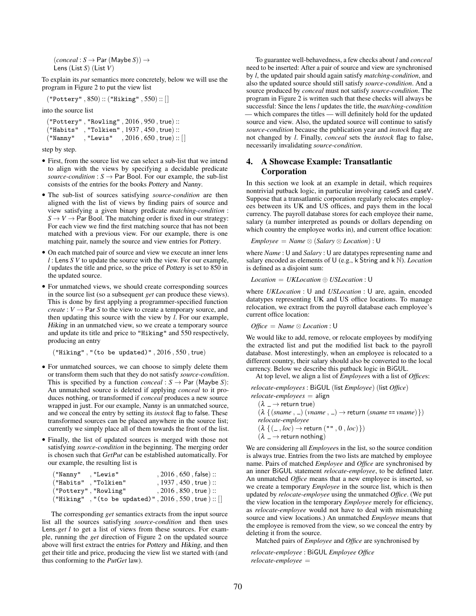$(conced: S \rightarrow \text{Par} (\text{Maybe } S)) \rightarrow$  $(conced: S \rightarrow \text{Par} (\text{Maybe } S)) \rightarrow$  $(conced: S \rightarrow \text{Par} (\text{Maybe } S)) \rightarrow$  $(conced: S \rightarrow \text{Par} (\text{Maybe } S)) \rightarrow$  $(conced: S \rightarrow \text{Par} (\text{Maybe } S)) \rightarrow$ [Lens](#page-1-16) (List *S*) (List *V*)

To explain its *[put](#page-1-1)* semantics more concretely, below we will use the program in [Figure 2](#page-4-5) to put the view list

("Pottery" , 850) :: ("Hiking" , 550) :: []

into the source list

|          |          | $("Pottery", "Rowling", 2016, 950, true)$ : |
|----------|----------|---------------------------------------------|
|          |          | ("Habits", "Tolkien", 1937, 450, true):     |
| ("Nanny" | ."Lewis" | $, 2016, 650,$ true) $::[]$                 |

step by step.

- First, from the source list we can select a sub-list that we intend to align with the views by specifying a decidable predicate *source-condition* :  $S \rightarrow$  [Par](#page-1-7) Bool. For our example, the sub-list consists of the entries for the books Pottery and Nanny.
- The sub-list of sources satisfying *source*-*condition* are then aligned with the list of views by finding pairs of source and view satisfying a given binary predicate *matching*-*condition* :  $S \rightarrow V \rightarrow$  [Par](#page-1-7) Bool. The matching order is fixed in our strategy: For each view we find the first matching source that has not been matched with a previous view. For our example, there is one matching pair, namely the source and view entries for Pottery.
- On each matched pair of source and view we execute an inner lens *l* : [Lens](#page-1-16) *S V* to update the source with the view. For our example, *l* updates the title and price, so the price of Pottery is set to 850 in the updated source.
- For unmatched views, we should create corresponding sources in the source list (so a subsequent *[get](#page-1-0)* can produce these views). This is done by first applying a programmer-specified function *create* :  $V \rightarrow$  [Par](#page-1-7) *S* to the view to create a temporary source, and then updating this source with the view by *l*. For our example, Hiking in an unmatched view, so we create a temporary source and update its title and price to "Hiking" and 550 respectively, producing an entry

("Hiking" , "(to be updated)" , 2016 , 550 , true)

- For unmatched sources, we can choose to simply delete them or transform them such that they do not satisfy *source*-*condition*. This is specified by a function *conceal* :  $S \rightarrow$  [Par](#page-1-7) ([Maybe](#page-1-8) *S*): An unmatched source is deleted if applying *conceal* to it produces [nothing](#page-1-10), or transformed if *conceal* produces a new source wrapped in [just](#page-1-9). For our example, Nanny is an unmatched source, and we conceal the entry by setting its *instock* flag to false. These transformed sources can be placed anywhere in the source list; currently we simply place all of them towards the front of the list.
- Finally, the list of updated sources is merged with those not satisfying *source*-*condition* in the beginning. The merging order is chosen such that *[GetPut](#page-1-3)* can be established automatically. For our example, the resulting list is

| ("Nanny") | ."Lewis".              | $, 2016, 650, false$ :                              |
|-----------|------------------------|-----------------------------------------------------|
|           | ("Habits", "Tolkien"   | $, 1937, 450,$ true):                               |
|           | ("Pottery", "Rowling") | $, 2016, 850,$ true) ::                             |
|           |                        | ("Hiking", "(to be updated)", $2016, 550$ , true):: |

The corresponding *[get](#page-1-0)* semantics extracts from the input source list all the sources satisfying *source*-*condition* and then uses [Lens](#page-1-16).*[get](#page-1-0) l* to get a list of views from these sources. For example, running the *[get](#page-1-0)* direction of [Figure 2](#page-4-5) on the updated source above will first extract the entries for Pottery and Hiking, and then get their title and price, producing the view list we started with (and thus conforming to the *[PutGet](#page-1-2)* law).

To guarantee well-behavedness, a few checks about *l* and *conceal* need to be inserted: After a pair of source and view are synchronised by *l*, the updated pair should again satisfy *matching*-*condition*, and also the updated source should still satisfy *source*-*condition*. And a source produced by *conceal* must not satisfy *source*-*condition*. The program in [Figure 2](#page-4-5) is written such that these checks will always be successful: Since the lens *l* updates the title, the *matching*-*condition* — which compares the titles — will definitely hold for the updated source and view. Also, the updated source will continue to satisfy *source*-*condition* because the publication year and *instock* flag are not changed by *l*. Finally, *conceal* sets the *instock* flag to false, necessarily invalidating *source*-*condition*.

# <span id="page-9-0"></span>4. A Showcase Example: Transatlantic Corporation

In this section we look at an example in detail, which requires nontrivial putback logic, in particular involving [caseS](#page-3-10) and [caseV](#page-3-11). Suppose that a transatlantic corporation regularly relocates employees between its UK and US offices, and pays them in the local currency. The payroll database stores for each employee their name, salary (a number interpreted as pounds or dollars depending on which country the employee works in), and current office location:

<span id="page-9-6"></span><span id="page-9-2"></span><span id="page-9-1"></span>*Employee* = *[Name](#page-9-1)* [⊗](#page-4-13) (*[Salary](#page-9-2)* [⊗](#page-4-13) *[Location](#page-9-3)*) : [U](#page-4-0)

where *Name* : [U](#page-4-0) and *Salary* : [U](#page-4-0) are datatypes representing name and salary encoded as elements of [U](#page-4-0) (e.g., [k](#page-4-11) String and [k](#page-4-11) N). *[Location](#page-9-3)* is defined as a disjoint sum:

<span id="page-9-5"></span><span id="page-9-4"></span><span id="page-9-3"></span>*Location* = *[UKLocation](#page-9-4)* [⊕](#page-4-12) *[USLocation](#page-9-5)* : [U](#page-4-0)

where *UKLocation* : [U](#page-4-0) and *USLocation* : [U](#page-4-0) are, again, encoded datatypes representing UK and US office locations. To manage relocation, we extract from the payroll database each employee's current office location:

<span id="page-9-7"></span>*Office* = *[Name](#page-9-1)* [⊗](#page-4-13) *[Location](#page-9-3)* : [U](#page-4-0)

We would like to add, remove, or relocate employees by modifying the extracted list and put the modified list back to the payroll database. Most interestingly, when an employee is relocated to a different country, their salary should also be converted to the local currency. Below we describe this putback logic in [BiGUL](#page-3-0).

At top level, we align a list of *[Employee](#page-9-6)*s with a list of *[Office](#page-9-7)*s:

```
relocate-employees : BiGUL (list Employee) (list Office)
relocate-employees = align
  (\lambda = \rightarrowreturn true)
  return (same == vname) \})relocate-employee
  return ("", 0, loc) \})(\lambda = \rightarrowreturn nothing)
```
We are considering all *[Employee](#page-9-6)*s in the list, so the source condition is always true. Entries from the two lists are matched by employee name. Pairs of matched *[Employee](#page-9-6)* and *[Office](#page-9-7)* are synchronised by an inner [BiGUL](#page-3-0) statement *relocate*-*[employee](#page-9-9)*, to be defined later. An unmatched *[Office](#page-9-7)* means that a new employee is inserted, so we create a temporary *[Employee](#page-9-6)* in the source list, which is then updated by *relocate*-*[employee](#page-9-9)* using the unmatched *[Office](#page-9-7)*. (We put the view location in the temporary *[Employee](#page-9-6)* merely for efficiency, as *relocate*-*[employee](#page-9-9)* would not have to deal with mismatching source and view locations.) An unmatched *[Employee](#page-9-6)* means that the employee is removed from the view, so we conceal the entry by deleting it from the source.

Matched pairs of *[Employee](#page-9-6)* and *[Office](#page-9-7)* are synchronised by

<span id="page-9-9"></span>*relocate*-*employee* : [BiGUL](#page-3-0) *[Employee](#page-9-6) [Office](#page-9-7) relocate*-*[employee](#page-9-9)* =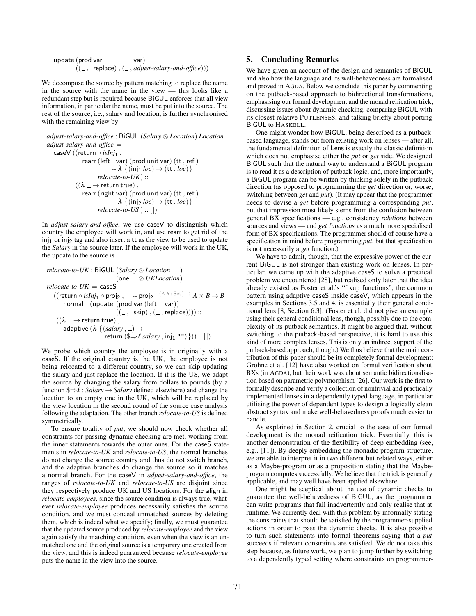$$
\text{update} \left( \text{prod} \right) \left( (-, \text{ replace} ), (-, \text{adjusted-salary-and-office})) \right)
$$

We decompose the source by pattern matching to replace the name in the source with the name in the view — this looks like a redundant step but is required because [BiGUL](#page-3-0) enforces that all view information, in particular the name, must be put into the source. The rest of the source, i.e., salary and location, is further synchronised with the remaining view by

<span id="page-10-1"></span>*adjust*-*salary*-*and*-*office* : [BiGUL](#page-3-0) (*[Salary](#page-9-2)* [⊗](#page-4-13) *[Location](#page-9-3)*) *[Location](#page-9-3) adjust*-*[salary](#page-10-1)*-*and*-*office* = [caseV](#page-3-11) (([return](#page-1-14) ◦ *[isInj](#page-8-7)*<sup>1</sup> , [rearr](#page-3-4) ([left](#page-4-14) [var](#page-4-7)) ([prod](#page-4-6) [unit](#page-4-8) [var](#page-4-7)) ([tt](#page-3-23) , refl)  $- \lambda \{ (inj_1 loc) \rightarrow (tt, loc) \}$  $- \lambda \{ (inj_1 loc) \rightarrow (tt, loc) \}$  $- \lambda \{ (inj_1 loc) \rightarrow (tt, loc) \}$  $- \lambda \{ (inj_1 loc) \rightarrow (tt, loc) \}$  $- \lambda \{ (inj_1 loc) \rightarrow (tt, loc) \}$ *[relocate](#page-10-2)*-*to*-*UK*) ::  $((\lambda \rightharpoonup \rightarrow$  [return](#page-1-14) true), [rearr](#page-3-4) ([right](#page-4-15) [var](#page-4-7)) ([prod](#page-4-6) [unit](#page-4-8) [var](#page-4-7)) ([tt](#page-3-23) , refl)  $- \lambda \{ (\text{inj}_2 \, loc) \rightarrow (\text{tt}, loc) \}$  $- \lambda \{ (\text{inj}_2 \, loc) \rightarrow (\text{tt}, loc) \}$  $- \lambda \{ (\text{inj}_2 \, loc) \rightarrow (\text{tt}, loc) \}$  $- \lambda \{ (\text{inj}_2 \, loc) \rightarrow (\text{tt}, loc) \}$  $- \lambda \{ (\text{inj}_2 \, loc) \rightarrow (\text{tt}, loc) \}$ *relocate*-*[to](#page-3-13)*-*US* ) :: [])

In *adjust*-*[salary](#page-10-1)*-*and*-*office*, we use [caseV](#page-3-11) to distinguish which country the employee will work in, and use [rearr](#page-3-4) to get rid of the  $inj<sub>1</sub>$  $inj<sub>1</sub>$  or  $inj<sub>2</sub>$  tag and also insert a [tt](#page-3-23) as the view to be used to update the *[Salary](#page-9-2)* in the source later. If the employee will work in the UK, the update to the source is

<span id="page-10-3"></span><span id="page-10-2"></span>relocate-to-UK : BiGUL (Salary ⊗ Location )  
\n(one ⊗ UKLocation)  
\nrelocate-to-UK = caseS  
\n((return ∘ isInj<sub>1</sub> ∘ proj<sub>2</sub>, -- proj<sub>2</sub> : {
$$
AB : Set
$$
} →  $A × B → B$   
\nnormal (update (prod var (left var))  
\n((-, skip), (-, replace))))) ::  
\n((λ<sub>-</sub> → return true),  
\nadaptive (λ {*(salary, -)* →  
\nreturn (\$⇒ £ salary, inj<sub>1</sub> "")})): []

<span id="page-10-4"></span>We probe which country the employee is in originally with a [caseS](#page-3-10). If the original country is the UK, the employee is not being relocated to a different country, so we can skip updating the salary and just replace the location. If it is the US, we adapt the source by changing the salary from dollars to pounds (by a function \$⇒*£* : *[Salary](#page-9-2)* → *[Salary](#page-9-2)* defined elsewhere) and change the location to an empty one in the UK, which will be replaced by the view location in the second round of the source case analysis following the adaptation. The other branch *relocate*-*[to](#page-3-13)*-*US* is defined symmetrically.

To ensure totality of *[put](#page-1-1)*, we should now check whether all constraints for passing dynamic checking are met, working from the inner statements towards the outer ones. For the [caseS](#page-3-10) statements in *[relocate](#page-10-2)*-*to*-*UK* and *relocate*-*[to](#page-3-13)*-*US*, the normal branches do not change the source country and thus do not switch branch, and the adaptive branches do change the source so it matches a normal branch. For the [caseV](#page-3-11) in *adjust*-*[salary](#page-10-1)*-*and*-*office*, the ranges of *[relocate](#page-10-2)*-*to*-*UK* and *relocate*-*[to](#page-3-13)*-*US* are disjoint since they respectively produce UK and US locations. For the [align](#page-3-9) in *relocate*-*[employees](#page-9-8)*, since the source condition is always true, whatever *relocate*-*[employee](#page-9-9)* produces necessarily satisfies the source condition, and we must conceal unmatched sources by deleting them, which is indeed what we specify; finally, we must guarantee that the updated source produced by *relocate*-*[employee](#page-9-9)* and the view again satisfy the matching condition, even when the view is an unmatched one and the original source is a temporary one created from the view, and this is indeed guaranteed because *relocate*-*[employee](#page-9-9)* puts the name in the view into the source.

# <span id="page-10-0"></span>5. Concluding Remarks

We have given an account of the design and semantics of [BiGUL](#page-3-0) and also how the language and its well-behavedness are formalised and proved in AGDA. Below we conclude this paper by commenting on the putback-based approach to bidirectional transformations, emphasising our formal development and the monad reification trick, discussing issues about dynamic checking, comparing [BiGUL](#page-3-0) with its closest relative PUTLENSES, and talking briefly about porting [BiGUL](#page-3-0) to HASKELL.

One might wonder how [BiGUL](#page-3-0), being described as a putbackbased language, stands out from existing work on lenses — after all, the fundamental definition of [Lens](#page-1-16) is exactly the classic definition which does not emphasise either the *[put](#page-1-1)* or *[get](#page-1-0)* side. We designed [BiGUL](#page-3-0) such that the natural way to understand a [BiGUL](#page-3-0) program is to read it as a description of putback logic, and, more importantly, a [BiGUL](#page-3-0) program can be written by thinking solely in the putback direction (as opposed to programming the *[get](#page-1-0)* direction or, worse, switching between *[get](#page-1-0)* and *[put](#page-1-1)*). (It may appear that the programmer needs to devise a *[get](#page-1-0)* before programming a corresponding *[put](#page-1-1)*, but that impression most likely stems from the confusion between general  $BX$  specifications  $-$  e.g., consistency relations between sources and views — and *[get](#page-1-0)* functions as a much more specialised form of BX specifications. The programmer should of course have a specification in mind before programming *[put](#page-1-1)*, but that specification is not necessarily a *[get](#page-1-0)* function.)

We have to admit, though, that the expressive power of the current [BiGUL](#page-3-0) is not stronger than existing work on lenses. In particular, we came up with the adaptive [caseS](#page-3-10) to solve a practical problem we encountered [\[28\]](#page-11-20), but realised only later that the idea already existed as Foster et al.'s "fixup functions"; the common pattern using adaptive [caseS](#page-3-10) inside [caseV](#page-3-11), which appears in the examples in Sections [3.5](#page-8-0) and [4,](#page-9-0) is essentially their general conditional lens [\[8,](#page-11-3) Section 6.3]. (Foster et al. did not give an example using their general conditional lens, though, possibly due to the complexity of its putback semantics. It might be argued that, without switching to the putback-based perspective, it is hard to use this kind of more complex lenses. This is only an indirect support of the putback-based approach, though.) We thus believe that the main contribution of this paper should be its completely formal development: Grohne et al. [\[12\]](#page-11-21) have also worked on formal verification about BXs (in AGDA), but their work was about semantic bidirectionalisation based on parametric polymorphism [\[26\]](#page-11-22). Our work is the first to formally describe and verify a collection of nontrivial and practically implemented lenses in a dependently typed language, in particular utilising the power of dependent types to design a logically clean abstract syntax and make well-behavedness proofs much easier to handle.

As explained in [Section 2,](#page-1-4) crucial to the ease of our formal development is the monad reification trick. Essentially, this is another demonstration of the flexibility of deep embedding (see, e.g., [\[11\]](#page-11-23)). By deeply embedding the monadic program structure, we are able to interpret it in two different but related ways, either as a [Maybe](#page-1-8)-program or as a proposition stating that the [Maybe](#page-1-8)program computes successfully. We believe that the trick is generally applicable, and may well have been applied elsewhere.

One might be sceptical about the use of dynamic checks to guarantee the well-behavedness of [BiGUL](#page-3-0), as the programmer can write programs that fail inadvertently and only realise that at runtime. We currently deal with this problem by informally stating the constraints that should be satisfied by the programmer-supplied actions in order to pass the dynamic checks. It is also possible to turn such statements into formal theorems saying that a *[put](#page-1-1)* succeeds if relevant constraints are satisfied. We do not take this step because, as future work, we plan to jump further by switching to a dependently typed setting where constraints on programmer